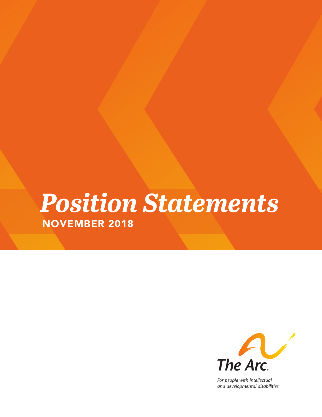# *Position Statements* NOVEMBER 2018



For people with intellectual and developmental disabilities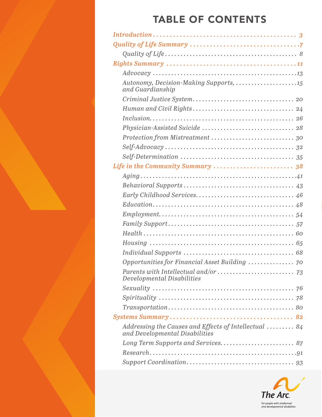## TABLE OF CONTENTS

| Autonomy, Decision-Making Supports, 15<br>and Guardianship                                             |
|--------------------------------------------------------------------------------------------------------|
|                                                                                                        |
|                                                                                                        |
|                                                                                                        |
| Physician-Assisted Suicide  28                                                                         |
| Protection from Mistreatment  30                                                                       |
| $Self-Advocacy \ldots \ldots \ldots \ldots \ldots \ldots \ldots \ldots \ldots \ldots \ldots \ldots 32$ |
|                                                                                                        |
|                                                                                                        |
|                                                                                                        |
|                                                                                                        |
|                                                                                                        |
|                                                                                                        |
|                                                                                                        |
|                                                                                                        |
|                                                                                                        |
|                                                                                                        |
|                                                                                                        |
| Opportunities for Financial Asset Building  70                                                         |
| <b>Developmental Disabilities</b>                                                                      |
|                                                                                                        |
|                                                                                                        |
|                                                                                                        |
|                                                                                                        |
| Addressing the Causes and Effects of Intellectual  84<br>and Developmental Disabilities                |
|                                                                                                        |
|                                                                                                        |
|                                                                                                        |

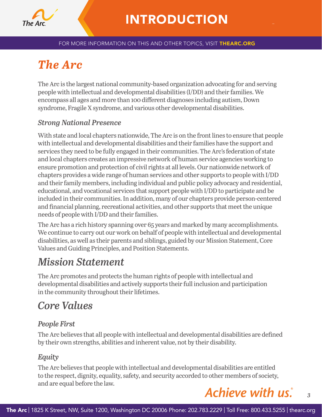

## *The Arc*

The Arc is the largest national community-based organization advocating for and serving people with intellectual and developmental disabilities (I/DD) and their families. We encompass all ages and more than 100 different diagnoses including autism, Down syndrome, Fragile X syndrome, and various other developmental disabilities.

#### *Strong National Presence*

With state and local chapters nationwide, The Arc is on the front lines to ensure that people with intellectual and developmental disabilities and their families have the support and services they need to be fully engaged in their communities. The Arc's federation of state and local chapters creates an impressive network of human service agencies working to ensure promotion and protection of civil rights at all levels. Our nationwide network of chapters provides a wide range of human services and other supports to people with I/DD and their family members, including individual and public policy advocacy and residential, educational, and vocational services that support people with I/DD to participate and be included in their communities. In addition, many of our chapters provide person-centered and financial planning, recreational activities, and other supports that meet the unique needs of people with I/DD and their families.

The Arc has a rich history spanning over 65 years and marked by many accomplishments. We continue to carry out our work on behalf of people with intellectual and developmental disabilities, as well as their parents and siblings, guided by our Mission Statement, Core Values and Guiding Principles, and Position Statements.

### *Mission Statement*

The Arc promotes and protects the human rights of people with intellectual and developmental disabilities and actively supports their full inclusion and participation in the community throughout their lifetimes.

### *Core Values*

#### *People First*

The Arc believes that all people with intellectual and developmental disabilities are defined by their own strengths, abilities and inherent value, not by their disability.

#### *Equity*

The Arc believes that people with intellectual and developmental disabilities are entitled to the respect, dignity, equality, safety, and security accorded to other members of society, and are equal before the law.



*3*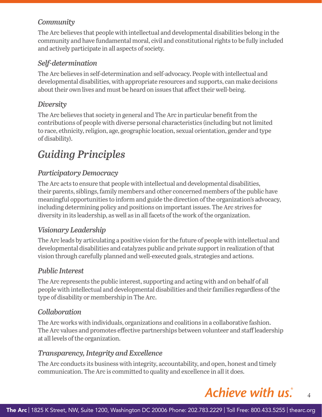#### *Community*

The Arc believes that people with intellectual and developmental disabilities belong in the community and have fundamental moral, civil and constitutional rights to be fully included and actively participate in all aspects of society.

#### *Self-determination*

The Arc believes in self-determination and self-advocacy. People with intellectual and developmental disabilities, with appropriate resources and supports, can make decisions about their own lives and must be heard on issues that affect their well-being.

#### *Diversity*

The Arc believes that society in general and The Arc in particular benefit from the contributions of people with diverse personal characteristics (including but not limited to race, ethnicity, religion, age, geographic location, sexual orientation, gender and type of disability).

## *Guiding Principles*

#### *Participatory Democracy*

The Arc acts to ensure that people with intellectual and developmental disabilities, their parents, siblings, family members and other concerned members of the public have meaningful opportunities to inform and guide the direction of the organization's advocacy, including determining policy and positions on important issues. The Arc strives for diversity in its leadership, as well as in all facets of the work of the organization.

#### *Visionary Leadership*

The Arc leads by articulating a positive vision for the future of people with intellectual and developmental disabilities and catalyzes public and private support in realization of that vision through carefully planned and well-executed goals, strategies and actions.

#### *Public Interest*

The Arc represents the public interest, supporting and acting with and on behalf of all people with intellectual and developmental disabilities and their families regardless of the type of disability or membership in The Arc.

#### *Collaboration*

The Arc works with individuals, organizations and coalitions in a collaborative fashion. The Arc values and promotes effective partnerships between volunteer and staff leadership at all levels of the organization.

#### *Transparency, Integrity and Excellence*

The Arc conducts its business with integrity, accountability, and open, honest and timely communication. The Arc is committed to quality and excellence in all it does.

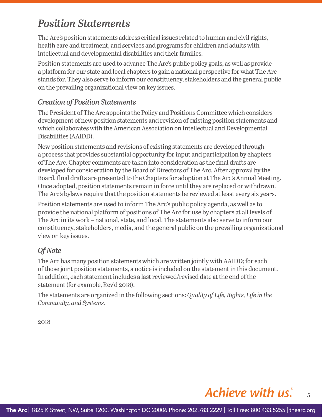### *Position Statements*

The Arc's position statements address critical issues related to human and civil rights, health care and treatment, and services and programs for children and adults with intellectual and developmental disabilities and their families.

Position statements are used to advance The Arc's public policy goals, as well as provide a platform for our state and local chapters to gain a national perspective for what The Arc stands for. They also serve to inform our constituency, stakeholders and the general public on the prevailing organizational view on key issues.

#### *Creation of Position Statements*

The President of The Arc appoints the Policy and Positions Committee which considers development of new position statements and revision of existing position statements and which collaborates with the American Association on Intellectual and Developmental Disabilities (AAIDD).

New position statements and revisions of existing statements are developed through a process that provides substantial opportunity for input and participation by chapters of The Arc. Chapter comments are taken into consideration as the final drafts are developed for consideration by the Board of Directors of The Arc. After approval by the Board, final drafts are presented to the Chapters for adoption at The Arc's Annual Meeting. Once adopted, position statements remain in force until they are replaced or withdrawn. The Arc's bylaws require that the position statements be reviewed at least every six years.

Position statements are used to inform The Arc's public policy agenda, as well as to provide the national platform of positions of The Arc for use by chapters at all levels of The Arc in its work – national, state, and local. The statements also serve to inform our constituency, stakeholders, media, and the general public on the prevailing organizational view on key issues.

#### *Of Note*

The Arc has many position statements which are written jointly with AAIDD; for each of those joint position statements, a notice is included on the statement in this document. In addition, each statement includes a last reviewed/revised date at the end of the statement (for example, Rev'd 2018).

The statements are organized in the following sections: *Quality of Life, Rights, Life in the Community, and Systems.*

2018

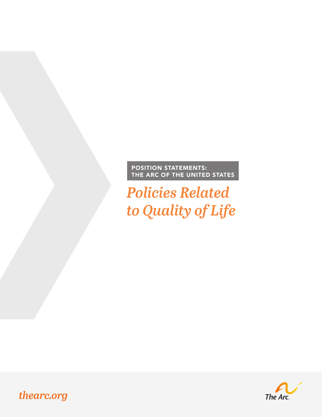#### POSITION STATEMENTS: THE ARC OF THE UNITED STATES

*Policies Related to Quality of Life*



*thearc.org*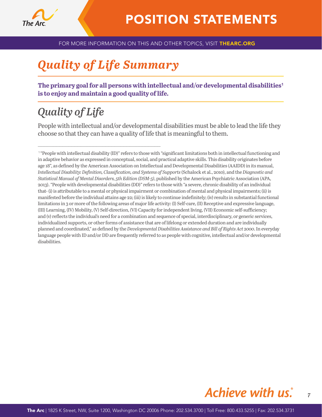

## *Quality of Life Summary*

\_\_\_\_\_\_\_\_\_\_\_\_\_\_\_\_\_\_\_\_\_\_\_\_\_\_\_\_\_\_\_\_\_\_\_\_\_\_\_\_

**The primary goal for all persons with intellectual and/or developmental disabilities**<sup>1</sup> **is to enjoy and maintain a good quality of life.**

## *Quality of Life*

People with intellectual and/or developmental disabilities must be able to lead the life they choose so that they can have a quality of life that is meaningful to them.



*7*

<sup>1</sup> "People with intellectual disability (ID)" refers to those with "significant limitations both in intellectual functioning and in adaptive behavior as expressed in conceptual, social, and practical adaptive skills. This disability originates before age 18", as defined by the American Association on Intellectual and Developmental Disabilities (AAIDD) in its manual, *Intellectual Disability: Definition, Classification, and Systems of Supports* (Schalock et al., 2010), and the *Diagnostic and Statistical Manual of Mental Disorders, 5th Edition (DSM-5)*, published by the American Psychiatric Association (APA, 2013). "People with developmental disabilities (DD)" refers to those with "a severe, chronic disability of an individual that- (i) is attributable to a mental or physical impairment or combination of mental and physical impairments; (ii) is manifested before the individual attains age 22; (iii) is likely to continue indefinitely; (iv) results in substantial functional limitations in 3 or more of the following areas of major life activity: (I) Self-care, (II) Receptive and expressive language, (III) Learning, (IV) Mobility, (V) Self-direction, (VI) Capacity for independent living, (VII) Economic self-sufficiency; and (v) reflects the individual's need for a combination and sequence of special, interdisciplinary, or generic services, individualized supports, or other forms of assistance that are of lifelong or extended duration and are individually planned and coordinated," as defined by the *Developmental Disabilities Assistance and Bill of Rights Act 2000*. In everyday language people with ID and/or DD are frequently referred to as people with cognitive, intellectual and/or developmental disabilities.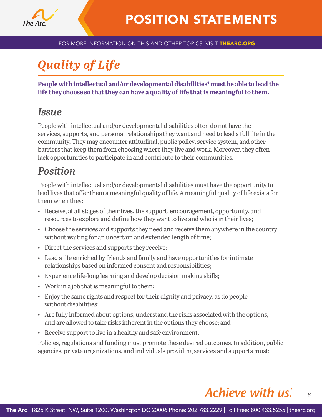

# *Quality of Life*

**People with intellectual and/or developmental disabilities**1 **must be able to lead the life they choose so that they can have a quality of life that is meaningful to them.**

### *Issue*

People with intellectual and/or developmental disabilities often do not have the services, supports, and personal relationships they want and need to lead a full life in the community. They may encounter attitudinal, public policy, service system, and other barriers that keep them from choosing where they live and work. Moreover, they often lack opportunities to participate in and contribute to their communities.

### *Position*

People with intellectual and/or developmental disabilities must have the opportunity to lead lives that offer them a meaningful quality of life. A meaningful quality of life exists for them when they:

- Receive, at all stages of their lives, the support, encouragement, opportunity, and resources to explore and define how they want to live and who is in their lives;
- Choose the services and supports they need and receive them anywhere in the country without waiting for an uncertain and extended length of time;
- Direct the services and supports they receive;
- Lead a life enriched by friends and family and have opportunities for intimate relationships based on informed consent and responsibilities;
- Experience life-long learning and develop decision making skills;
- Work in a job that is meaningful to them;
- Enjoy the same rights and respect for their dignity and privacy, as do people without disabilities;
- Are fully informed about options, understand the risks associated with the options, and are allowed to take risks inherent in the options they choose; and
- Receive support to live in a healthy and safe environment.

Policies, regulations and funding must promote these desired outcomes. In addition, public agencies, private organizations, and individuals providing services and supports must:

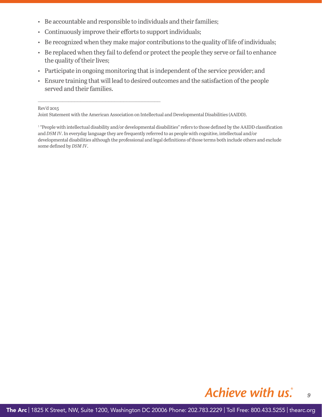- Be accountable and responsible to individuals and their families;
- Continuously improve their efforts to support individuals;

 $\overline{\phantom{a}}$  , and the set of the set of the set of the set of the set of the set of the set of the set of the set of the set of the set of the set of the set of the set of the set of the set of the set of the set of the s

- Be recognized when they make major contributions to the quality of life of individuals;
- Be replaced when they fail to defend or protect the people they serve or fail to enhance the quality of their lives;
- Participate in ongoing monitoring that is independent of the service provider; and
- Ensure training that will lead to desired outcomes and the satisfaction of the people served and their families.

#### Rev'd 2015

<sup>1</sup>"People with intellectual disability and/or developmental disabilities" refers to those defined by the AAIDD classification and *DSM IV*. In everyday language they are frequently referred to as people with cognitive, intellectual and/or developmental disabilities although the professional and legal definitions of those terms both include others and exclude some defined by *DSM IV*.



Joint Statement with the American Association on Intellectual and Developmental Disabilities (AAIDD).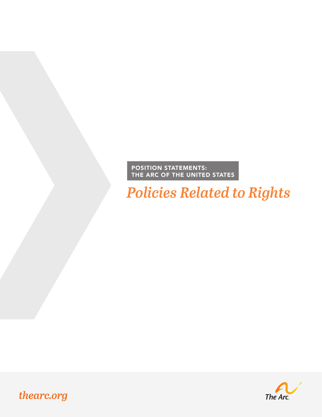#### POSITION STATEMENTS: THE ARC OF THE UNITED STATES

# *Policies Related to Rights*



*thearc.org*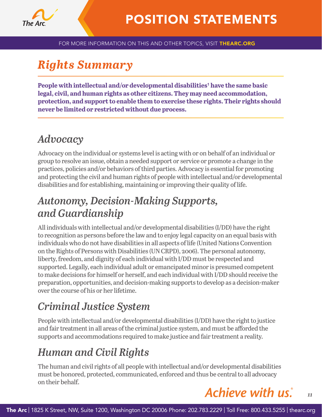

## *Rights Summary*

**People with intellectual and/or developmental disabilities**1 **have the same basic legal, civil, and human rights as other citizens. They may need accommodation, protection, and support to enable them to exercise these rights. Their rights should never be limited or restricted without due process.**

### *Advocacy*

Advocacy on the individual or systems level is acting with or on behalf of an individual or group to resolve an issue, obtain a needed support or service or promote a change in the practices, policies and/or behaviors of third parties. Advocacy is essential for promoting and protecting the civil and human rights of people with intellectual and/or developmental disabilities and for establishing, maintaining or improving their quality of life.

## *Autonomy, Decision-Making Supports, and Guardianship*

All individuals with intellectual and/or developmental disabilities (I/DD) have the right to recognition as persons before the law and to enjoy legal capacity on an equal basis with individuals who do not have disabilities in all aspects of life (United Nations Convention on the Rights of Persons with Disabilities (UN CRPD), 2006). The personal autonomy, liberty, freedom, and dignity of each individual with I/DD must be respected and supported. Legally, each individual adult or emancipated minor is presumed competent to make decisions for himself or herself, and each individual with I/DD should receive the preparation, opportunities, and decision-making supports to develop as a decision-maker over the course of his or her lifetime.

## *Criminal Justice System*

People with intellectual and/or developmental disabilities (I/DD) have the right to justice and fair treatment in all areas of the criminal justice system, and must be afforded the supports and accommodations required to make justice and fair treatment a reality.

## *Human and Civil Rights*

The human and civil rights of all people with intellectual and/or developmental disabilities must be honored, protected, communicated, enforced and thus be central to all advocacy on their behalf.

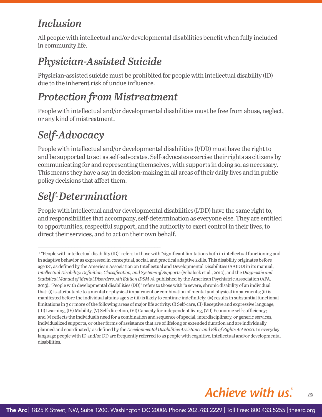## *Inclusion*

All people with intellectual and/or developmental disabilities benefit when fully included in community life.

## *Physician-Assisted Suicide*

Physician-assisted suicide must be prohibited for people with intellectual disability (ID) due to the inherent risk of undue influence.

## *Protection from Mistreatment*

People with intellectual and/or developmental disabilities must be free from abuse, neglect, or any kind of mistreatment.

## *Self-Advocacy*

People with intellectual and/or developmental disabilities (I/DD) must have the right to and be supported to act as self-advocates. Self-advocates exercise their rights as citizens by communicating for and representing themselves, with supports in doing so, as necessary. This means they have a say in decision-making in all areas of their daily lives and in public policy decisions that affect them.

## *Self-Determination*

 $\overline{\phantom{a}}$  , and the set of the set of the set of the set of the set of the set of the set of the set of the set of the set of the set of the set of the set of the set of the set of the set of the set of the set of the s

People with intellectual and/or developmental disabilities(I/DD) have the same right to, and responsibilities that accompany, self-determination as everyone else. They are entitled to opportunities, respectful support, and the authority to exert control in their lives, to direct their services, and to act on their own behalf.



<sup>1</sup> "People with intellectual disability (ID)" refers to those with "significant limitations both in intellectual functioning and in adaptive behavior as expressed in conceptual, social, and practical adaptive skills. This disability originates before age 18", as defined by the American Association on Intellectual and Developmental Disabilities (AAIDD) in its manual, *Intellectual Disability: Definition, Classification, and Systems of Supports* (Schalock et al., 2010), and the *Diagnostic and Statistical Manual of Mental Disorders, 5th Edition (DSM-5)*, published by the American Psychiatric Association (APA, 2013). "People with developmental disabilities (DD)" refers to those with "a severe, chronic disability of an individual that- (i) is attributable to a mental or physical impairment or combination of mental and physical impairments; (ii) is manifested before the individual attains age 22; (iii) is likely to continue indefinitely; (iv) results in substantial functional limitations in 3 or more of the following areas of major life activity: (I) Self-care, (II) Receptive and expressive language, (III) Learning, (IV) Mobility, (V) Self-direction, (VI) Capacity for independent living, (VII) Economic self-sufficiency; and (v) reflects the individual's need for a combination and sequence of special, interdisciplinary, or generic services, individualized supports, or other forms of assistance that are of lifelong or extended duration and are individually planned and coordinated," as defined by the *Developmental Disabilities Assistance and Bill of Rights Act 2000*. In everyday language people with ID and/or DD are frequently referred to as people with cognitive, intellectual and/or developmental disabilities.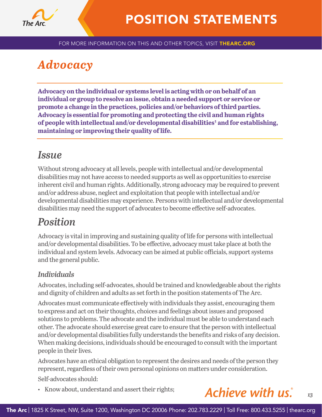

## *Advocacy*

**Advocacy on the individual or systems level is acting with or on behalf of an individual or group to resolve an issue, obtain a needed support or service or promote a change in the practices, policies and/or behaviors of third parties. Advocacy is essential for promoting and protecting the civil and human rights of people with intellectual and/or developmental disabilities**1 **and for establishing, maintaining or improving their quality of life.**

### *Issue*

Without strong advocacy at all levels, people with intellectual and/or developmental disabilities may not have access to needed supports as well as opportunities to exercise inherent civil and human rights. Additionally, strong advocacy may be required to prevent and/or address abuse, neglect and exploitation that people with intellectual and/or developmental disabilities may experience. Persons with intellectual and/or developmental disabilities may need the support of advocates to become effective self-advocates.

### *Position*

Advocacy is vital in improving and sustaining quality of life for persons with intellectual and/or developmental disabilities. To be effective, advocacy must take place at both the individual and system levels. Advocacy can be aimed at public officials, support systems and the general public.

#### *Individuals*

Advocates, including self-advocates, should be trained and knowledgeable about the rights and dignity of children and adults as set forth in the position statements of The Arc.

Advocates must communicate effectively with individuals they assist, encouraging them to express and act on their thoughts, choices and feelings about issues and proposed solutions to problems. The advocate and the individual must be able to understand each other. The advocate should exercise great care to ensure that the person with intellectual and/or developmental disabilities fully understands the benefits and risks of any decision. When making decisions, individuals should be encouraged to consult with the important people in their lives.

Advocates have an ethical obligation to represent the desires and needs of the person they represent, regardless of their own personal opinions on matters under consideration.

Self-advocates should:

• Know about, understand and assert their rights;

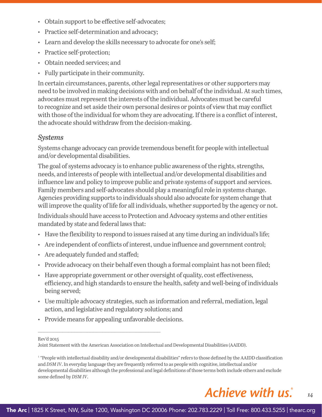- Obtain support to be effective self-advocates;
- Practice self-determination and advocacy;
- Learn and develop the skills necessary to advocate for one's self;
- Practice self-protection;
- Obtain needed services; and
- Fully participate in their community.

In certain circumstances, parents, other legal representatives or other supporters may need to be involved in making decisions with and on behalf of the individual. At such times, advocates must represent the interests of the individual. Advocates must be careful to recognize and set aside their own personal desires or points of view that may conflict with those of the individual for whom they are advocating. If there is a conflict of interest, the advocate should withdraw from the decision-making.

#### *Systems*

Systems change advocacy can provide tremendous benefit for people with intellectual and/or developmental disabilities.

The goal of systems advocacy is to enhance public awareness of the rights, strengths, needs, and interests of people with intellectual and/or developmental disabilities and influence law and policy to improve public and private systems of support and services. Family members and self-advocates should play a meaningful role in systems change. Agencies providing supports to individuals should also advocate for system change that will improve the quality of life for all individuals, whether supported by the agency or not.

Individuals should have access to Protection and Advocacy systems and other entities mandated by state and federal laws that:

- Have the flexibility to respond to issues raised at any time during an individual's life;
- Are independent of conflicts of interest, undue influence and government control;
- Are adequately funded and staffed;
- Provide advocacy on their behalf even though a formal complaint has not been filed;
- Have appropriate government or other oversight of quality, cost effectiveness, efficiency, and high standards to ensure the health, safety and well-being of individuals being served;
- Use multiple advocacy strategies, such as information and referral, mediation, legal action, and legislative and regulatory solutions; and
- Provide means for appealing unfavorable decisions.

 $\overline{\phantom{a}}$  , and the set of the set of the set of the set of the set of the set of the set of the set of the set of the set of the set of the set of the set of the set of the set of the set of the set of the set of the s

#### Rev'd 2015

<sup>1</sup> "People with intellectual disability and/or developmental disabilities" refers to those defined by the AAIDD classification and *DSM IV*. In everyday language they are frequently referred to as people with cognitive, intellectual and/or developmental disabilities although the professional and legal definitions of those terms both include others and exclude some defined by *DSM IV*.



Joint Statement with the American Association on Intellectual and Developmental Disabilities (AAIDD).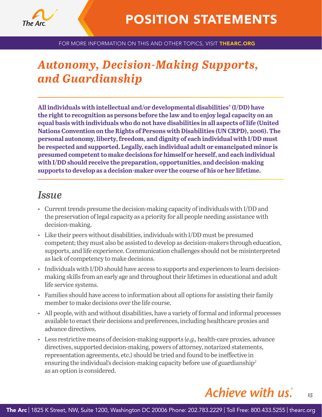

## *Autonomy, Decision-Making Supports, and Guardianship*

**All individuals with intellectual and/or developmental disabilities**1 **(I/DD) have the right to recognition as persons before the law and to enjoy legal capacity on an equal basis with individuals who do not have disabilities in all aspects of life (United Nations Convention on the Rights of Persons with Disabilities (UN CRPD), 2006). The personal autonomy, liberty, freedom, and dignity of each individual with I/DD must be respected and supported. Legally, each individual adult or emancipated minor is presumed competent to make decisions for himself or herself, and each individual with I/DD should receive the preparation, opportunities, and decision-making supports to develop as a decision-maker over the course of his or her lifetime.**

#### *Issue*

- Current trends presume the decision-making capacity of individuals with I/DD and the preservation of legal capacity as a priority for all people needing assistance with decision-making.
- Like their peers without disabilities, individuals with I/DD must be presumed competent; they must also be assisted to develop as decision-makers through education, supports, and life experience. Communication challenges should not be misinterpreted as lack of competency to make decisions.
- Individuals with I/DD should have access to supports and experiences to learn decisionmaking skills from an early age and throughout their lifetimes in educational and adult life service systems.
- Families should have access to information about all options for assisting their family member to make decisions over the life course.
- All people, with and without disabilities, have a variety of formal and informal processes available to enact their decisions and preferences, including healthcare proxies and advance directives.
- Less restrictive means of decision-making supports (*e.g.,* health-care proxies, advance directives, supported decision-making, powers of attorney, notarized statements, representation agreements, etc.) should be tried and found to be ineffective in ensuring the individual's decision-making capacity before use of guardianship<sup>2</sup> as an option is considered.

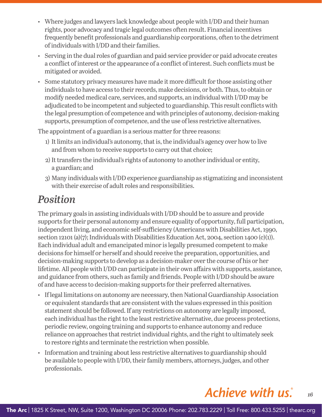- Where judges and lawyers lack knowledge about people with I/DD and their human rights, poor advocacy and tragic legal outcomes often result. Financial incentives frequently benefit professionals and guardianship corporations, often to the detriment of individuals with I/DD and their families.
- Serving in the dual roles of guardian and paid service provider or paid advocate creates a conflict of interest or the appearance of a conflict of interest. Such conflicts must be mitigated or avoided.
- Some statutory privacy measures have made it more difficult for those assisting other individuals to have access to their records, make decisions, or both. Thus, to obtain or modify needed medical care, services, and supports, an individual with I/DD may be adjudicated to be incompetent and subjected to guardianship. This result conflicts with the legal presumption of competence and with principles of autonomy, decision-making supports, presumption of competence, and the use of less restrictive alternatives.

The appointment of a guardian is a serious matter for three reasons:

- 1) It limits an individual's autonomy, that is, the individual's agency over how to live and from whom to receive supports to carry out that choice;
- 2) It transfers the individual's rights of autonomy to another individual or entity, a guardian; and
- 3) Many individuals with I/DD experience guardianship as stigmatizing and inconsistent with their exercise of adult roles and responsibilities.

### *Position*

The primary goals in assisting individuals with I/DD should be to assure and provide supports for their personal autonomy and ensure equality of opportunity, full participation, independent living, and economic self-sufficiency (Americans with Disabilities Act, 1990, section 12101 (a)(7); Individuals with Disabilities Education Act, 2004, section 1400 (c)(1)). Each individual adult and emancipated minor is legally presumed competent to make decisions for himself or herself and should receive the preparation, opportunities, and decision-making supports to develop as a decision-maker over the course of his or her lifetime. All people with I/DD can participate in their own affairs with supports, assistance, and guidance from others, such as family and friends. People with I/DD should be aware of and have access to decision-making supports for their preferred alternatives.

- If legal limitations on autonomy are necessary, then National Guardianship Association or equivalent standards that are consistent with the values expressed in this position statement should be followed. If any restrictions on autonomy are legally imposed, each individual has the right to the least restrictive alternative, due process protections, periodic review, ongoing training and supports to enhance autonomy and reduce reliance on approaches that restrict individual rights, and the right to ultimately seek to restore rights and terminate the restriction when possible.
- Information and training about less restrictive alternatives to guardianship should be available to people with I/DD, their family members, attorneys, judges, and other professionals.

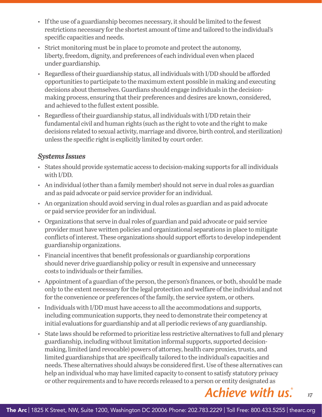- If the use of a guardianship becomes necessary, it should be limited to the fewest restrictions necessary for the shortest amount of time and tailored to the individual's specific capacities and needs.
- Strict monitoring must be in place to promote and protect the autonomy, liberty, freedom, dignity, and preferences of each individual even when placed under guardianship.
- Regardless of their guardianship status, all individuals with I/DD should be afforded opportunities to participate to the maximum extent possible in making and executing decisions about themselves. Guardians should engage individuals in the decisionmaking process, ensuring that their preferences and desires are known, considered, and achieved to the fullest extent possible.
- Regardless of their guardianship status, all individuals with I/DD retain their fundamental civil and human rights (such as the right to vote and the right to make decisions related to sexual activity, marriage and divorce, birth control, and sterilization) unless the specific right is explicitly limited by court order.

#### *Systems Issues*

- States should provide systematic access to decision-making supports for all individuals with I/DD.
- An individual (other than a family member) should not serve in dual roles as guardian and as paid advocate or paid service provider for an individual.
- An organization should avoid serving in dual roles as guardian and as paid advocate or paid service provider for an individual.
- Organizations that serve in dual roles of guardian and paid advocate or paid service provider must have written policies and organizational separations in place to mitigate conflicts of interest. These organizations should support efforts to develop independent guardianship organizations.
- Financial incentives that benefit professionals or guardianship corporations should never drive guardianship policy or result in expensive and unnecessary costs to individuals or their families.
- Appointment of a guardian of the person, the person's finances, or both, should be made only to the extent necessary for the legal protection and welfare of the individual and not for the convenience or preferences of the family, the service system, or others.
- Individuals with I/DD must have access to all the accommodations and supports, including communication supports, they need to demonstrate their competency at initial evaluations for guardianship and at all periodic reviews of any guardianship.
- State laws should be reformed to prioritize less restrictive alternatives to full and plenary guardianship, including without limitation informal supports, supported decisionmaking, limited (and revocable) powers of attorney, health care proxies, trusts, and limited guardianships that are specifically tailored to the individual's capacities and needs. These alternatives should always be considered first. Use of these alternatives can help an individual who may have limited capacity to consent to satisfy statutory privacy or other requirements and to have records released to a person or entity designated as

# **Achieve with us.**

*17*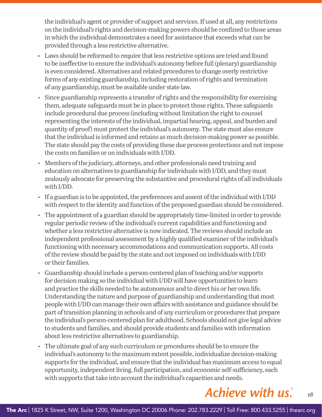the individual's agent or provider of support and services. If used at all, any restrictions on the individual's rights and decision-making powers should be confined to those areas in which the individual demonstrates a need for assistance that exceeds what can be provided through a less restrictive alternative.

- Laws should be reformed to require that less restrictive options are tried and found to be ineffective to ensure the individual's autonomy before full (plenary) guardianship is even considered. Alternatives and related procedures to change overly restrictive forms of any existing guardianship, including restoration of rights and termination of any guardianship, must be available under state law.
- Since guardianship represents a transfer of rights and the responsibility for exercising them, adequate safeguards must be in place to protect those rights. These safeguards include procedural due process (including without limitation the right to counsel representing the interests of the individual, impartial hearing, appeal, and burden and quantity of proof) must protect the individual's autonomy. The state must also ensure that the individual is informed and retains as much decision-making power as possible. The state should pay the costs of providing these due process protections and not impose the costs on families or on individuals with I/DD.
- Members of the judiciary, attorneys, and other professionals need training and education on alternatives to guardianship for individuals with I/DD, and they must zealously advocate for preserving the substantive and procedural rights of all individuals with I/DD.
- If a guardian is to be appointed, the preferences and assent of the individual with I/DD with respect to the identity and function of the proposed guardian should be considered.
- The appointment of a guardian should be appropriately time-limited in order to provide regular periodic review of the individual's current capabilities and functioning and whether a less restrictive alternative is now indicated. The reviews should include an independent professional assessment by a highly qualified examiner of the individual's functioning with necessary accommodations and communication supports. All costs of the review should be paid by the state and not imposed on individuals with I/DD or their families.
- Guardianship should include a person-centered plan of teaching and/or supports for decision making so the individual with I/DD will have opportunities to learn and practice the skills needed to be autonomous and to direct his or her own life. Understanding the nature and purpose of guardianship and understanding that most people with I/DD can manage their own affairs with assistance and guidance should be part of transition planning in schools and of any curriculum or procedures that prepare the individual's person-centered plan for adulthood. Schools should not give legal advice to students and families, and should provide students and families with information about less restrictive alternatives to guardianship.
- The ultimate goal of any such curriculum or procedures should be to ensure the individual's autonomy to the maximum extent possible, individualize decision-making supports for the individual, and ensure that the individual has maximum access to equal opportunity, independent living, full participation, and economic self-sufficiency, each with supports that take into account the individual's capacities and needs.

# **Achieve with us.**

*18*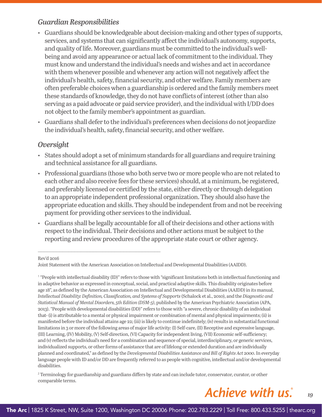#### *Guardian Responsibilities*

- Guardians should be knowledgeable about decision-making and other types of supports, services, and systems that can significantly affect the individual's autonomy, supports, and quality of life. Moreover, guardians must be committed to the individual's wellbeing and avoid any appearance or actual lack of commitment to the individual. They must know and understand the individual's needs and wishes and act in accordance with them whenever possible and whenever any action will not negatively affect the individual's health, safety, financial security, and other welfare. Family members are often preferable choices when a guardianship is ordered and the family members meet these standards of knowledge, they do not have conflicts of interest (other than also serving as a paid advocate or paid service provider), and the individual with I/DD does not object to the family member's appointment as guardian.
- Guardians shall defer to the individual's preferences when decisions do not jeopardize the individual's health, safety, financial security, and other welfare.

#### *Oversight*

- States should adopt a set of minimum standards for all guardians and require training and technical assistance for all guardians.
- Professional guardians (those who both serve two or more people who are not related to each other and also receive fees for these services) should, at a minimum, be registered, and preferably licensed or certified by the state, either directly or through delegation to an appropriate independent professional organization. They should also have the appropriate education and skills. They should be independent from and not be receiving payment for providing other services to the individual.
- Guardians shall be legally accountable for all of their decisions and other actions with respect to the individual. Their decisions and other actions must be subject to the reporting and review procedures of the appropriate state court or other agency.

Rev'd 2016

 $\overline{\phantom{a}}$  , and the set of the set of the set of the set of the set of the set of the set of the set of the set of the set of the set of the set of the set of the set of the set of the set of the set of the set of the s

<sup>2</sup> Terminology for guardianship and guardians differs by state and can include tutor, conservator, curator, or other comparable terms.



Joint Statement with the American Association on Intellectual and Developmental Disabilities (AAIDD).

<sup>1</sup> "People with intellectual disability (ID)" refers to those with "significant limitations both in intellectual functioning and in adaptive behavior as expressed in conceptual, social, and practical adaptive skills. This disability originates before age 18", as defined by the American Association on Intellectual and Developmental Disabilities (AAIDD) in its manual, *Intellectual Disability: Definition, Classification, and Systems of Supports* (Schalock et al., 2010), and the *Diagnostic and Statistical Manual of Mental Disorders, 5th Edition (DSM-5)*, published by the American Psychiatric Association (APA, 2013). "People with developmental disabilities (DD)" refers to those with "a severe, chronic disability of an individual that- (i) is attributable to a mental or physical impairment or combination of mental and physical impairments; (ii) is manifested before the individual attains age 22; (iii) is likely to continue indefinitely; (iv) results in substantial functional limitations in 3 or more of the following areas of major life activity: (I) Self-care, (II) Receptive and expressive language, (III) Learning, (IV) Mobility, (V) Self-direction, (VI) Capacity for independent living, (VII) Economic self-sufficiency; and (v) reflects the individual's need for a combination and sequence of special, interdisciplinary, or generic services, individualized supports, or other forms of assistance that are of lifelong or extended duration and are individually planned and coordinated," as defined by the *Developmental Disabilities Assistance and Bill of Rights Act 2000*. In everyday language people with ID and/or DD are frequently referred to as people with cognitive, intellectual and/or developmental disabilities.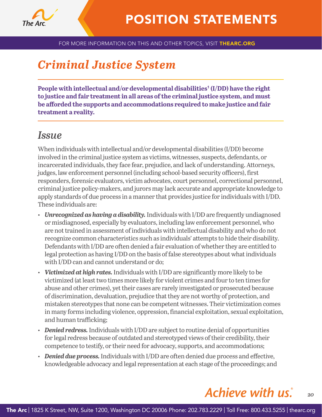

## *Criminal Justice System*

**People with intellectual and/or developmental disabilities**1 **(I/DD) have the right to justice and fair treatment in all areas of the criminal justice system, and must be afforded the supports and accommodations required to make justice and fair treatment a reality.**

### *Issue*

When individuals with intellectual and/or developmental disabilities (I/DD) become involved in the criminal justice system as victims, witnesses, suspects, defendants, or incarcerated individuals, they face fear, prejudice, and lack of understanding. Attorneys, judges, law enforcement personnel (including school-based security officers), first responders, forensic evaluators, victim advocates, court personnel, correctional personnel, criminal justice policy-makers, and jurors may lack accurate and appropriate knowledge to apply standards of due process in a manner that provides justice for individuals with I/DD. These individuals are:

- *Unrecognized as having a disability.* Individuals with I/DD are frequently undiagnosed or misdiagnosed, especially by evaluators, including law enforcement personnel, who are not trained in assessment of individuals with intellectual disability and who do not recognize common characteristics such as individuals' attempts to hide their disability. Defendants with I/DD are often denied a fair evaluation of whether they are entitled to legal protection as having I/DD on the basis of false stereotypes about what individuals with I/DD can and cannot understand or do;
- *Victimized at high rates.* Individuals with I/DD are significantly more likely to be victimized (at least two times more likely for violent crimes and four to ten times for abuse and other crimes), yet their cases are rarely investigated or prosecuted because of discrimination, devaluation, prejudice that they are not worthy of protection, and mistaken stereotypes that none can be competent witnesses. Their victimization comes in many forms including violence, oppression, financial exploitation, sexual exploitation, and human trafficking;
- *Denied redress.* Individuals with I/DD are subject to routine denial of opportunities for legal redress because of outdated and stereotyped views of their credibility, their competence to testify, or their need for advocacy, supports, and accommodations;
- *Denied due process.* Individuals with I/DD are often denied due process and effective, knowledgeable advocacy and legal representation at each stage of the proceedings; and

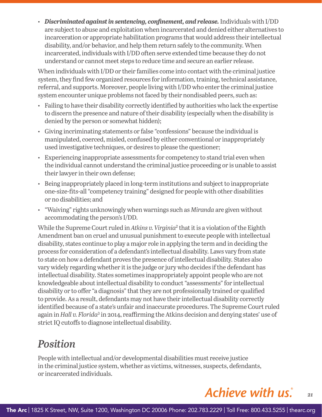• *Discriminated against in sentencing, confinement, and release.* Individuals with I/DD are subject to abuse and exploitation when incarcerated and denied either alternatives to incarceration or appropriate habilitation programs that would address their intellectual disability, and/or behavior, and help them return safely to the community. When incarcerated, individuals with I/DD often serve extended time because they do not understand or cannot meet steps to reduce time and secure an earlier release.

When individuals with I/DD or their families come into contact with the criminal justice system, they find few organized resources for information, training, technical assistance, referral, and supports. Moreover, people living with I/DD who enter the criminal justice system encounter unique problems not faced by their nondisabled peers, such as:

- Failing to have their disability correctly identified by authorities who lack the expertise to discern the presence and nature of their disability (especially when the disability is denied by the person or somewhat hidden);
- Giving incriminating statements or false "confessions" because the individual is manipulated, coerced, misled, confused by either conventional or inappropriately used investigative techniques, or desires to please the questioner;
- Experiencing inappropriate assessments for competency to stand trial even when the individual cannot understand the criminal justice proceeding or is unable to assist their lawyer in their own defense;
- Being inappropriately placed in long-term institutions and subject to inappropriate one-size-fits-all "competency training" designed for people with other disabilities or no disabilities; and
- "Waiving" rights unknowingly when warnings such as *Miranda* are given without accommodating the person's I/DD.

While the Supreme Court ruled in Atkins v. Virginia<sup>2</sup> that it is a violation of the Eighth Amendment ban on cruel and unusual punishment to execute people with intellectual disability, states continue to play a major role in applying the term and in deciding the process for consideration of a defendant's intellectual disability. Laws vary from state to state on how a defendant proves the presence of intellectual disability. States also vary widely regarding whether it is the judge or jury who decides if the defendant has intellectual disability. States sometimes inappropriately appoint people who are not knowledgeable about intellectual disability to conduct "assessments" for intellectual disability or to offer "a diagnosis" that they are not professionally trained or qualified to provide. As a result, defendants may not have their intellectual disability correctly identified because of a state's unfair and inaccurate procedures. The Supreme Court ruled again in *Hall v. Florida<sup>3</sup>* in 2014, reaffirming the Atkins decision and denying states' use of strict IQ cutoffs to diagnose intellectual disability.

### *Position*

People with intellectual and/or developmental disabilities must receive justice in the criminal justice system, whether as victims, witnesses, suspects, defendants, or incarcerated individuals.

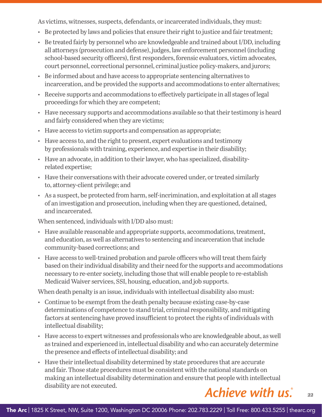As victims, witnesses, suspects, defendants, or incarcerated individuals, they must:

- Be protected by laws and policies that ensure their right to justice and fair treatment;
- Be treated fairly by personnel who are knowledgeable and trained about I/DD, including all attorneys (prosecution and defense), judges, law enforcement personnel (including school-based security officers), first responders, forensic evaluators, victim advocates, court personnel, correctional personnel, criminal justice policy-makers, and jurors;
- Be informed about and have access to appropriate sentencing alternatives to incarceration, and be provided the supports and accommodations to enter alternatives;
- Receive supports and accommodations to effectively participate in all stages of legal proceedings for which they are competent;
- Have necessary supports and accommodations available so that their testimony is heard and fairly considered when they are victims;
- Have access to victim supports and compensation as appropriate;
- Have access to, and the right to present, expert evaluations and testimony by professionals with training, experience, and expertise in their disability;
- Have an advocate, in addition to their lawyer, who has specialized, disabilityrelated expertise;
- Have their conversations with their advocate covered under, or treated similarly to, attorney-client privilege; and
- As a suspect, be protected from harm, self-incrimination, and exploitation at all stages of an investigation and prosecution, including when they are questioned, detained, and incarcerated.

When sentenced, individuals with I/DD also must:

- Have available reasonable and appropriate supports, accommodations, treatment, and education, as well as alternatives to sentencing and incarceration that include community-based corrections; and
- Have access to well-trained probation and parole officers who will treat them fairly based on their individual disability and their need for the supports and accommodations necessary to re-enter society, including those that will enable people to re-establish Medicaid Waiver services, SSI, housing, education, and job supports.

When death penalty is an issue, individuals with intellectual disability also must:

- Continue to be exempt from the death penalty because existing case-by-case determinations of competence to stand trial, criminal responsibility, and mitigating factors at sentencing have proved insufficient to protect the rights of individuals with intellectual disability;
- Have access to expert witnesses and professionals who are knowledgeable about, as well as trained and experienced in, intellectual disability and who can accurately determine the presence and effects of intellectual disability; and
- Have their intellectual disability determined by state procedures that are accurate and fair. Those state procedures must be consistent with the national standards on making an intellectual disability determination and ensure that people with intellectual disability are not executed.



*22*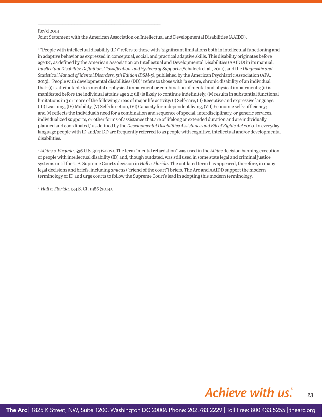#### Rev'd 2014

Joint Statement with the American Association on Intellectual and Developmental Disabilities (AAIDD).

 $\overline{\phantom{a}}$  , and the set of the set of the set of the set of the set of the set of the set of the set of the set of the set of the set of the set of the set of the set of the set of the set of the set of the set of the s

1 "People with intellectual disability (ID)" refers to those with "significant limitations both in intellectual functioning and in adaptive behavior as expressed in conceptual, social, and practical adaptive skills. This disability originates before age 18", as defined by the American Association on Intellectual and Developmental Disabilities (AAIDD) in its manual, *Intellectual Disability: Definition, Classification, and Systems of Supports* (Schalock et al., 2010), and the *Diagnostic and Statistical Manual of Mental Disorders, 5th Edition (DSM-5)*, published by the American Psychiatric Association (APA, 2013). "People with developmental disabilities (DD)" refers to those with "a severe, chronic disability of an individual that- (i) is attributable to a mental or physical impairment or combination of mental and physical impairments; (ii) is manifested before the individual attains age 22; (iii) is likely to continue indefinitely; (iv) results in substantial functional limitations in 3 or more of the following areas of major life activity: (I) Self-care, (II) Receptive and expressive language, (III) Learning, (IV) Mobility, (V) Self-direction, (VI) Capacity for independent living, (VII) Economic self-sufficiency; and (v) reflects the individual's need for a combination and sequence of special, interdisciplinary, or generic services, individualized supports, or other forms of assistance that are of lifelong or extended duration and are individually planned and coordinated," as defined by the *Developmental Disabilities Assistance and Bill of Rights Act 2000*. In everyday language people with ID and/or DD are frequently referred to as people with cognitive, intellectual and/or developmental disabilities.

<sup>2</sup> *Atkins v. Virginia,* 536 U.S. 304 (2002). The term "mental retardation" was used in the *Atkins* decision banning execution of people with intellectual disability (ID) and, though outdated, was still used in some state legal and criminal justice systems until the U.S. Supreme Court's decision in *Hall v. Florida*. The outdated term has appeared, therefore, in many legal decisions and briefs, including *amicus* ("friend of the court") briefs. The Arc and AAIDD support the modern terminology of ID and urge courts to follow the Supreme Court's lead in adopting this modern terminology.

3 *Hall v. Florida,* 134 S. Ct. 1986 (2014).

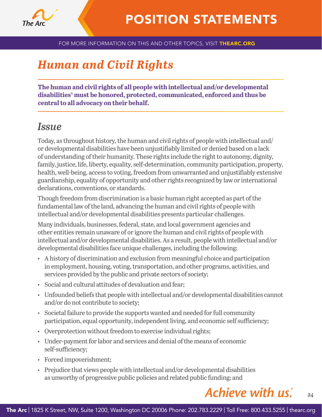

## *Human and Civil Rights*

**The human and civil rights of all people with intellectual and/or developmental disabilities**1 **must be honored, protected, communicated, enforced and thus be central to all advocacy on their behalf.**

### *Issue*

Today, as throughout history, the human and civil rights of people with intellectual and/ or developmental disabilities have been unjustifiably limited or denied based on a lack of understanding of their humanity. These rights include the right to autonomy, dignity, family, justice, life, liberty, equality, self-determination, community participation, property, health, well-being, access to voting, freedom from unwarranted and unjustifiably extensive guardianship, equality of opportunity and other rights recognized by law or international declarations, conventions, or standards.

Though freedom from discrimination is a basic human right accepted as part of the fundamental law of the land, advancing the human and civil rights of people with intellectual and/or developmental disabilities presents particular challenges.

Many individuals, businesses, federal, state, and local government agencies and other entities remain unaware of or ignore the human and civil rights of people with intellectual and/or developmental disabilities. As a result, people with intellectual and/or developmental disabilities face unique challenges, including the following:

- A history of discrimination and exclusion from meaningful choice and participation in employment, housing, voting, transportation, and other programs, activities, and services provided by the public and private sectors of society;
- Social and cultural attitudes of devaluation and fear;
- Unfounded beliefs that people with intellectual and/or developmental disabilities cannot and/or do not contribute to society;
- Societal failure to provide the supports wanted and needed for full community participation, equal opportunity, independent living, and economic self sufficiency;
- Overprotection without freedom to exercise individual rights;
- Under-payment for labor and services and denial of the means of economic self-sufficiency;
- Forced impoverishment;
- Prejudice that views people with intellectual and/or developmental disabilities as unworthy of progressive public policies and related public funding; and

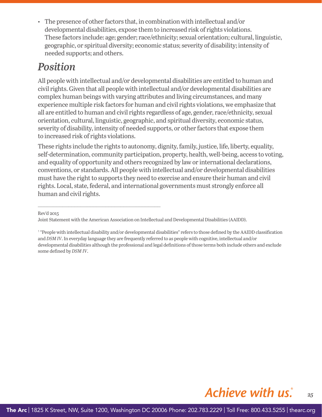• The presence of other factors that, in combination with intellectual and/or developmental disabilities, expose them to increased risk of rights violations. These factors include: age; gender; race/ethnicity; sexual orientation; cultural, linguistic, geographic, or spiritual diversity; economic status; severity of disability; intensity of needed supports; and others.

### *Position*

All people with intellectual and/or developmental disabilities are entitled to human and civil rights. Given that all people with intellectual and/or developmental disabilities are complex human beings with varying attributes and living circumstances, and many experience multiple risk factors for human and civil rights violations, we emphasize that all are entitled to human and civil rights regardless of age, gender, race/ethnicity, sexual orientation, cultural, linguistic, geographic, and spiritual diversity, economic status, severity of disability, intensity of needed supports, or other factors that expose them to increased risk of rights violations.

These rights include the rights to autonomy, dignity, family, justice, life, liberty, equality, self-determination, community participation, property, health, well-being, access to voting, and equality of opportunity and others recognized by law or international declarations, conventions, or standards. All people with intellectual and/or developmental disabilities must have the right to supports they need to exercise and ensure their human and civil rights. Local, state, federal, and international governments must strongly enforce all human and civil rights.

Rev'd 2015

 $\overline{\phantom{a}}$  , and the set of the set of the set of the set of the set of the set of the set of the set of the set of the set of the set of the set of the set of the set of the set of the set of the set of the set of the s



Joint Statement with the American Association on Intellectual and Developmental Disabilities (AAIDD).

<sup>1</sup>"People with intellectual disability and/or developmental disabilities" refers to those defined by the AAIDD classification and *DSM IV*. In everyday language they are frequently referred to as people with cognitive, intellectual and/or developmental disabilities although the professional and legal definitions of those terms both include others and exclude some defined by *DSM IV*.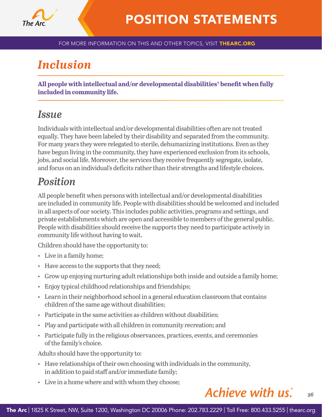

## *Inclusion*

All people with intellectual and/or developmental disabilities<sup>1</sup> benefit when fully **included in community life.**

### *Issue*

Individuals with intellectual and/or developmental disabilities often are not treated equally. They have been labeled by their disability and separated from the community. For many years they were relegated to sterile, dehumanizing institutions. Even as they have begun living in the community, they have experienced exclusion from its schools, jobs, and social life. Moreover, the services they receive frequently segregate, isolate, and focus on an individual's deficits rather than their strengths and lifestyle choices.

### *Position*

All people benefit when persons with intellectual and/or developmental disabilities are included in community life. People with disabilities should be welcomed and included in all aspects of our society. This includes public activities, programs and settings, and private establishments which are open and accessible to members of the general public. People with disabilities should receive the supports they need to participate actively in community life without having to wait.

Children should have the opportunity to:

- Live in a family home;
- Have access to the supports that they need;
- Grow up enjoying nurturing adult relationships both inside and outside a family home;
- Enjoy typical childhood relationships and friendships;
- Learn in their neighborhood school in a general education classroom that contains children of the same age without disabilities;
- Participate in the same activities as children without disabilities;
- Play and participate with all children in community recreation; and
- Participate fully in the religious observances, practices, events, and ceremonies of the family's choice.

Adults should have the opportunity to:

- Have relationships of their own choosing with individuals in the community, in addition to paid staff and/or immediate family;
- Live in a home where and with whom they choose;

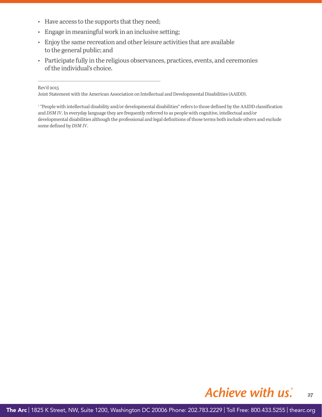• Have access to the supports that they need;

 $\overline{\phantom{a}}$  , and the set of the set of the set of the set of the set of the set of the set of the set of the set of the set of the set of the set of the set of the set of the set of the set of the set of the set of the s

- Engage in meaningful work in an inclusive setting;
- Enjoy the same recreation and other leisure activities that are available to the general public; and
- Participate fully in the religious observances, practices, events, and ceremonies of the individual's choice.

Rev'd 2015

Joint Statement with the American Association on Intellectual and Developmental Disabilities (AAIDD).

<sup>1</sup>"People with intellectual disability and/or developmental disabilities" refers to those defined by the AAIDD classification and *DSM IV*. In everyday language they are frequently referred to as people with cognitive, intellectual and/or developmental disabilities although the professional and legal definitions of those terms both include others and exclude some defined by *DSM IV*.

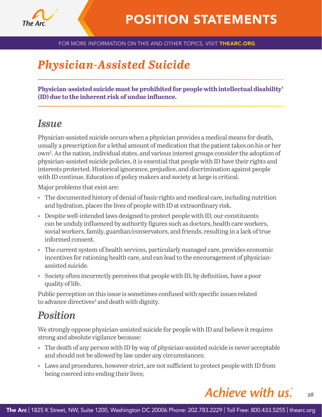

## *Physician-Assisted Suicide*

**Physician-assisted suicide must be prohibited for people with intellectual disability**<sup>1</sup> **(ID) due to the inherent risk of undue influence.**

### *Issue*

Physician-assisted suicide occurs when a physician provides a medical means for death, usually a prescription for a lethal amount of medication that the patient takes on his or her own<sup>2</sup>. As the nation, individual states, and various interest groups consider the adoption of physician-assisted suicide policies, it is essential that people with ID have their rights and interests protected. Historical ignorance, prejudice, and discrimination against people with ID continue. Education of policy makers and society at large is critical.

Major problems that exist are:

- The documented history of denial of basic rights and medical care, including nutrition and hydration, places the lives of people with ID at extraordinary risk.
- Despite well-intended laws designed to protect people with ID, our constituents can be unduly influenced by authority figures such as doctors, health care workers, social workers, family, guardian/conservators, and friends, resulting in a lack of true informed consent.
- The current system of health services, particularly managed care, provides economic incentives for rationing health care, and can lead to the encouragement of physicianassisted suicide.
- Society often incorrectly perceives that people with ID, by definition, have a poor quality of life.

Public perception on this issue is sometimes confused with specific issues related to advance directives<sup>3</sup> and death with dignity.

### *Position*

We strongly oppose physician-assisted suicide for people with ID and believe it requires strong and absolute vigilance because:

- The death of any person with ID by way of physician-assisted suicide is never acceptable and should not be allowed by law under any circumstances;
- Laws and procedures, however strict, are not sufficient to protect people with ID from being coerced into ending their lives;

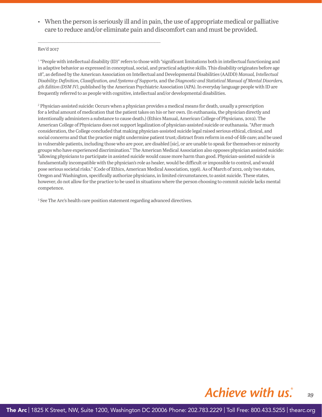• When the person is seriously ill and in pain, the use of appropriate medical or palliative care to reduce and/or eliminate pain and discomfort can and must be provided.

#### Rev'd 2017

1 "People with intellectual disability (ID)" refers to those with "significant limitations both in intellectual functioning and in adaptive behavior as expressed in conceptual, social, and practical adaptive skills. This disability originates before age 18", as defined by the American Association on Intellectual and Developmental Disabilities (AAIDD) *Manual, Intellectual Disability: Definition, Classification, and Systems of Supports,* and the *Diagnostic and Statistical Manual of Mental Disorders, 4th Edition (DSM IV)*, published by the American Psychiatric Association (APA). In everyday language people with ID are frequently referred to as people with cognitive, intellectual and/or developmental disabilities.

2 Physician-assisted suicide: Occurs when a physician provides a medical means for death, usually a prescription for a lethal amount of medication that the patient takes on his or her own. (In euthanasia, the physician directly and intentionally administers a substance to cause death.) (Ethics Manual, American College of Physicians, 2012). The American College of Physicians does not support legalization of physician-assisted suicide or euthanasia. "After much consideration, the College concluded that making physician-assisted suicide legal raised serious ethical, clinical, and social concerns and that the practice might undermine patient trust; distract from reform in end-of-life care; and be used in vulnerable patients, including those who are poor, are disabled [sic], or are unable to speak for themselves or minority groups who have experienced discrimination." The American Medical Association also opposes physician assisted suicide: "allowing physicians to participate in assisted suicide would cause more harm than good. Physician-assisted suicide is fundamentally incompatible with the physician's role as healer, would be difficult or impossible to control, and would pose serious societal risks." (Code of Ethics, American Medical Association, 1996). As of March of 2012, only two states, Oregon and Washington, specifically authorize physicians, in limited circumstances, to assist suicide. These states, however, do not allow for the practice to be used in situations where the person choosing to commit suicide lacks mental competence.

<sup>3</sup> See The Arc's health care position statement regarding advanced directives.

 $\overline{\phantom{a}}$  , and the set of the set of the set of the set of the set of the set of the set of the set of the set of the set of the set of the set of the set of the set of the set of the set of the set of the set of the s

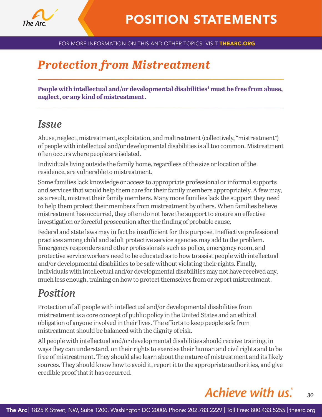

## *Protection from Mistreatment*

**People with intellectual and/or developmental disabilities**1 **must be free from abuse, neglect, or any kind of mistreatment.**

### *Issue*

Abuse, neglect, mistreatment, exploitation, and maltreatment (collectively, "mistreatment") of people with intellectual and/or developmental disabilities is all too common. Mistreatment often occurs where people are isolated.

Individuals living outside the family home, regardless of the size or location of the residence, are vulnerable to mistreatment.

Some families lack knowledge or access to appropriate professional or informal supports and services that would help them care for their family members appropriately. A few may, as a result, mistreat their family members. Many more families lack the support they need to help them protect their members from mistreatment by others. When families believe mistreatment has occurred, they often do not have the support to ensure an effective investigation or forceful prosecution after the finding of probable cause.

Federal and state laws may in fact be insufficient for this purpose. Ineffective professional practices among child and adult protective service agencies may add to the problem. Emergency responders and other professionals such as police, emergency room, and protective service workers need to be educated as to how to assist people with intellectual and/or developmental disabilities to be safe without violating their rights. Finally, individuals with intellectual and/or developmental disabilities may not have received any, much less enough, training on how to protect themselves from or report mistreatment.

### *Position*

Protection of all people with intellectual and/or developmental disabilities from mistreatment is a core concept of public policy in the United States and an ethical obligation of anyone involved in their lives. The efforts to keep people safe from mistreatment should be balanced with the dignity of risk.

All people with intellectual and/or developmental disabilities should receive training, in ways they can understand, on their rights to exercise their human and civil rights and to be free of mistreatment. They should also learn about the nature of mistreatment and its likely sources. They should know how to avoid it, report it to the appropriate authorities, and give credible proof that it has occurred.

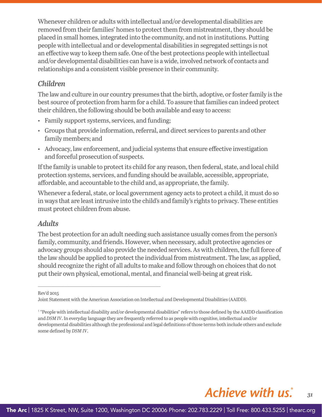Whenever children or adults with intellectual and/or developmental disabilities are removed from their families' homes to protect them from mistreatment, they should be placed in small homes, integrated into the community, and not in institutions. Putting people with intellectual and or developmental disabilities in segregated settings is not an effective way to keep them safe. One of the best protections people with intellectual and/or developmental disabilities can have is a wide, involved network of contacts and relationships and a consistent visible presence in their community.

#### *Children*

The law and culture in our country presumes that the birth, adoptive, or foster family is the best source of protection from harm for a child. To assure that families can indeed protect their children, the following should be both available and easy to access:

• Family support systems, services, and funding;

 $\overline{\phantom{a}}$  , and the set of the set of the set of the set of the set of the set of the set of the set of the set of the set of the set of the set of the set of the set of the set of the set of the set of the set of the s

- Groups that provide information, referral, and direct services to parents and other family members; and
- Advocacy, law enforcement, and judicial systems that ensure effective investigation and forceful prosecution of suspects.

If the family is unable to protect its child for any reason, then federal, state, and local child protection systems, services, and funding should be available, accessible, appropriate, affordable, and accountable to the child and, as appropriate, the family.

Whenever a federal, state, or local government agency acts to protect a child, it must do so in ways that are least intrusive into the child's and family's rights to privacy. These entities must protect children from abuse.

#### *Adults*

The best protection for an adult needing such assistance usually comes from the person's family, community, and friends. However, when necessary, adult protective agencies or advocacy groups should also provide the needed services. As with children, the full force of the law should be applied to protect the individual from mistreatment. The law, as applied, should recognize the right of all adults to make and follow through on choices that do not put their own physical, emotional, mental, and financial well-being at great risk.

#### Rev'd 2015



Joint Statement with the American Association on Intellectual and Developmental Disabilities (AAIDD).

<sup>1</sup> "People with intellectual disability and/or developmental disabilities" refers to those defined by the AAIDD classification and *DSM IV*. In everyday language they are frequently referred to as people with cognitive, intellectual and/or developmental disabilities although the professional and legal definitions of those terms both include others and exclude some defined by *DSM IV*.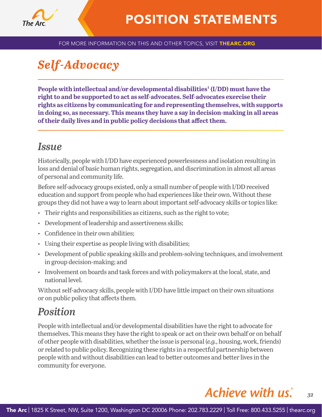

## *Self-Advocacy*

**People with intellectual and/or developmental disabilities**1 **(I/DD) must have the right to and be supported to act as self-advocates. Self-advocates exercise their rights as citizens by communicating for and representing themselves, with supports in doing so, as necessary. This means they have a say in decision-making in all areas of their daily lives and in public policy decisions that affect them.**

### *Issue*

Historically, people with I/DD have experienced powerlessness and isolation resulting in loss and denial of basic human rights, segregation, and discrimination in almost all areas of personal and community life.

Before self-advocacy groups existed, only a small number of people with I/DD received education and support from people who had experiences like their own. Without these groups they did not have a way to learn about important self-advocacy skills or topics like:

- Their rights and responsibilities as citizens, such as the right to vote;
- Development of leadership and assertiveness skills;
- Confidence in their own abilities;
- Using their expertise as people living with disabilities;
- Development of public speaking skills and problem-solving techniques, and involvement in group decision-making; and
- Involvement on boards and task forces and with policymakers at the local, state, and national level.

Without self-advocacy skills, people with I/DD have little impact on their own situations or on public policy that affects them.

### *Position*

People with intellectual and/or developmental disabilities have the right to advocate for themselves. This means they have the right to speak or act on their own behalf or on behalf of other people with disabilities, whether the issue is personal (*e.g.*, housing, work, friends) or related to public policy. Recognizing these rights in a respectful partnership between people with and without disabilities can lead to better outcomes and better lives in the community for everyone.

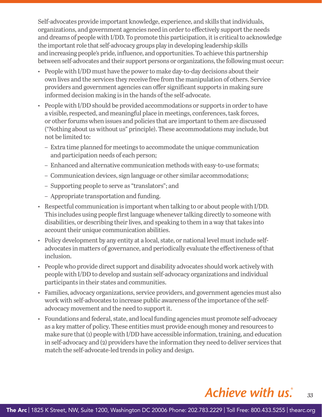Self-advocates provide important knowledge, experience, and skills that individuals, organizations, and government agencies need in order to effectively support the needs and dreams of people with I/DD. To promote this participation, it is critical to acknowledge the important role that self-advocacy groups play in developing leadership skills and increasing people's pride, influence, and opportunities. To achieve this partnership between self-advocates and their support persons or organizations, the following must occur:

- People with I/DD must have the power to make day-to-day decisions about their own lives and the services they receive free from the manipulation of others. Service providers and government agencies can offer significant supports in making sure informed decision making is in the hands of the self-advocate.
- People with I/DD should be provided accommodations or supports in order to have a visible, respected, and meaningful place in meetings, conferences, task forces, or other forums when issues and policies that are important to them are discussed ("Nothing about us without us" principle). These accommodations may include, but not be limited to:
	- Extra time planned for meetings to accommodate the unique communication and participation needs of each person;
	- Enhanced and alternative communication methods with easy-to-use formats;
	- Communication devices, sign language or other similar accommodations;
	- Supporting people to serve as "translators"; and
	- Appropriate transportation and funding.
- Respectful communication is important when talking to or about people with I/DD. This includes using people first language whenever talking directly to someone with disabilities, or describing their lives, and speaking to them in a way that takes into account their unique communication abilities.
- Policy development by any entity at a local, state, or national level must include selfadvocates in matters of governance, and periodically evaluate the effectiveness of that inclusion.
- People who provide direct support and disability advocates should work actively with people with I/DD to develop and sustain self-advocacy organizations and individual participants in their states and communities.
- Families, advocacy organizations, service providers, and government agencies must also work with self-advocates to increase public awareness of the importance of the selfadvocacy movement and the need to support it.
- Foundations and federal, state, and local funding agencies must promote self-advocacy as a key matter of policy. These entities must provide enough money and resources to make sure that (1) people with I/DD have accessible information, training, and education in self-advocacy and (2) providers have the information they need to deliver services that match the self-advocate-led trends in policy and design.

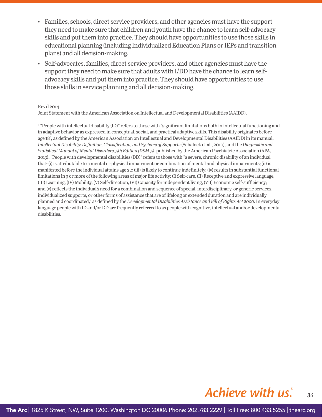- Families, schools, direct service providers, and other agencies must have the support they need to make sure that children and youth have the chance to learn self-advocacy skills and put them into practice. They should have opportunities to use those skills in educational planning (including Individualized Education Plans or IEPs and transition plans) and all decision-making.
- Self-advocates, families, direct service providers, and other agencies must have the support they need to make sure that adults with I/DD have the chance to learn selfadvocacy skills and put them into practice. They should have opportunities to use those skills in service planning and all decision-making.

Rev'd 2014

 $\overline{\phantom{a}}$  , and the set of the set of the set of the set of the set of the set of the set of the set of the set of the set of the set of the set of the set of the set of the set of the set of the set of the set of the s

1 "People with intellectual disability (ID)" refers to those with "significant limitations both in intellectual functioning and in adaptive behavior as expressed in conceptual, social, and practical adaptive skills. This disability originates before age 18", as defined by the American Association on Intellectual and Developmental Disabilities (AAIDD) in its manual, *Intellectual Disability: Definition, Classification, and Systems of Supports* (Schalock et al., 2010), and the *Diagnostic and Statistical Manual of Mental Disorders, 5th Edition (DSM-5)*, published by the American Psychiatric Association (APA, 2013). "People with developmental disabilities (DD)" refers to those with "a severe, chronic disability of an individual that- (i) is attributable to a mental or physical impairment or combination of mental and physical impairments; (ii) is manifested before the individual attains age 22; (iii) is likely to continue indefinitely; (iv) results in substantial functional limitations in 3 or more of the following areas of major life activity: (I) Self-care, (II) Receptive and expressive language, (III) Learning, (IV) Mobility, (V) Self-direction, (VI) Capacity for independent living, (VII) Economic self-sufficiency; and (v) reflects the individual's need for a combination and sequence of special, interdisciplinary, or generic services, individualized supports, or other forms of assistance that are of lifelong or extended duration and are individually planned and coordinated," as defined by the *Developmental Disabilities Assistance and Bill of Rights Act 2000*. In everyday language people with ID and/or DD are frequently referred to as people with cognitive, intellectual and/or developmental disabilities.



Joint Statement with the American Association on Intellectual and Developmental Disabilities (AAIDD).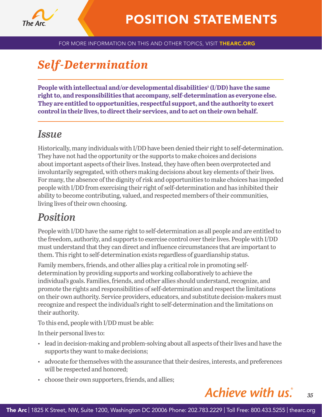

## *Self-Determination*

People with intellectual and/or developmental disabilities<sup>1</sup> (I/DD) have the same **right to, and responsibilities that accompany, self-determination as everyone else. They are entitled to opportunities, respectful support, and the authority to exert control in their lives, to direct their services, and to act on their own behalf.**

### *Issue*

Historically, many individuals with I/DD have been denied their right to self-determination. They have not had the opportunity or the supports to make choices and decisions about important aspects of their lives. Instead, they have often been overprotected and involuntarily segregated, with others making decisions about key elements of their lives. For many, the absence of the dignity of risk and opportunities to make choices has impeded people with I/DD from exercising their right of self-determination and has inhibited their ability to become contributing, valued, and respected members of their communities, living lives of their own choosing.

### *Position*

People with I/DD have the same right to self-determination as all people and are entitled to the freedom, authority, and supports to exercise control over their lives. People with I/DD must understand that they can direct and influence circumstances that are important to them. This right to self-determination exists regardless of guardianship status.

Family members, friends, and other allies play a critical role in promoting selfdetermination by providing supports and working collaboratively to achieve the individual's goals. Families, friends, and other allies should understand, recognize, and promote the rights and responsibilities of self-determination and respect the limitations on their own authority. Service providers, educators, and substitute decision-makers must recognize and respect the individual's right to self-determination and the limitations on their authority.

To this end, people with I/DD must be able:

In their personal lives to:

- lead in decision-making and problem-solving about all aspects of their lives and have the supports they want to make decisions;
- advocate for themselves with the assurance that their desires, interests, and preferences will be respected and honored;
- choose their own supporters, friends, and allies;

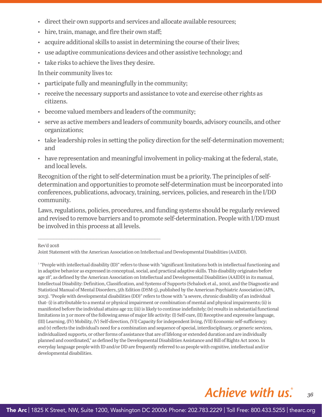- direct their own supports and services and allocate available resources;
- hire, train, manage, and fire their own staff;
- acquire additional skills to assist in determining the course of their lives;
- use adaptive communications devices and other assistive technology; and
- take risks to achieve the lives they desire.

 $\overline{\phantom{a}}$  , and the set of the set of the set of the set of the set of the set of the set of the set of the set of the set of the set of the set of the set of the set of the set of the set of the set of the set of the s

In their community lives to:

- participate fully and meaningfully in the community;
- receive the necessary supports and assistance to vote and exercise other rights as citizens.
- become valued members and leaders of the community;
- serve as active members and leaders of community boards, advisory councils, and other organizations;
- take leadership roles in setting the policy direction for the self-determination movement; and
- have representation and meaningful involvement in policy-making at the federal, state, and local levels.

Recognition of the right to self-determination must be a priority. The principles of selfdetermination and opportunities to promote self-determination must be incorporated into conferences, publications, advocacy, training, services, policies, and research in the I/DD community.

Laws, regulations, policies, procedures, and funding systems should be regularly reviewed and revised to remove barriers and to promote self-determination. People with I/DD must be involved in this process at all levels.

Rev'd 2018



Joint Statement with the American Association on Intellectual and Developmental Disabilities (AAIDD).

<sup>1</sup>"People with intellectual disability (ID)" refers to those with "significant limitations both in intellectual functioning and in adaptive behavior as expressed in conceptual, social, and practical adaptive skills. This disability originates before age 18", as defined by the American Association on Intellectual and Developmental Disabilities (AAIDD) in its manual, Intellectual Disability: Definition, Classification, and Systems of Supports (Schalock et al., 2010), and the Diagnostic and Statistical Manual of Mental Disorders, 5th Edition (DSM-5), published by the American Psychiatric Association (APA, 2013). "People with developmental disabilities (DD)" refers to those with "a severe, chronic disability of an individual that- (i) is attributable to a mental or physical impairment or combination of mental and physical impairments; (ii) is manifested before the individual attains age 22; (iii) is likely to continue indefinitely; (iv) results in substantial functional limitations in 3 or more of the following areas of major life activity: (I) Self-care, (II) Receptive and expressive language, (III) Learning, (IV) Mobility, (V) Self-direction, (VI) Capacity for independent living, (VII) Economic self-sufficiency; and (v) reflects the individual's need for a combination and sequence of special, interdisciplinary, or generic services, individualized supports, or other forms of assistance that are of lifelong or extended duration and are individually planned and coordinated," as defined by the Developmental Disabilities Assistance and Bill of Rights Act 2000. In everyday language people with ID and/or DD are frequently referred to as people with cognitive, intellectual and/or developmental disabilities.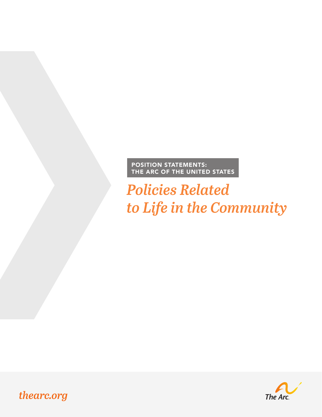POSITION STATEMENTS: THE ARC OF THE UNITED STATES

*Policies Related to Life in the Community*



*thearc.org*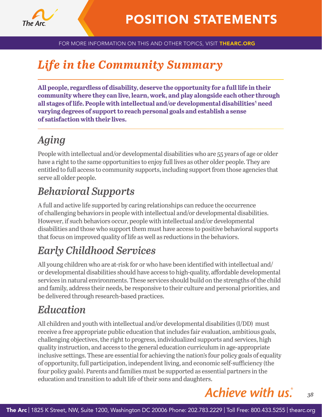

## *Life in the Community Summary*

**All people, regardless of disability, deserve the opportunity for a full life in their community where they can live, learn, work, and play alongside each other through all stages of life. People with intellectual and/or developmental disabilities**1 **need varying degrees of support to reach personal goals and establish a sense of satisfaction with their lives.**

# *Aging*

People with intellectual and/or developmental disabilities who are 55 years of age or older have a right to the same opportunities to enjoy full lives as other older people. They are entitled to full access to community supports, including support from those agencies that serve all older people.

## *Behavioral Supports*

A full and active life supported by caring relationships can reduce the occurrence of challenging behaviors in people with intellectual and/or developmental disabilities. However, if such behaviors occur, people with intellectual and/or developmental disabilities and those who support them must have access to positive behavioral supports that focus on improved quality of life as well as reductions in the behaviors.

## *Early Childhood Services*

All young children who are at-risk for or who have been identified with intellectual and/ or developmental disabilities should have access to high-quality, affordable developmental services in natural environments. These services should build on the strengths of the child and family, address their needs, be responsive to their culture and personal priorities, and be delivered through research-based practices.

## *Education*

All children and youth with intellectual and/or developmental disabilities (I/DD) must receive a free appropriate public education that includes fair evaluation, ambitious goals, challenging objectives, the right to progress, individualized supports and services, high quality instruction, and access to the general education curriculum in age-appropriate inclusive settings. These are essential for achieving the nation's four policy goals of equality of opportunity, full participation, independent living, and economic self-sufficiency (the four policy goals). Parents and families must be supported as essential partners in the education and transition to adult life of their sons and daughters.

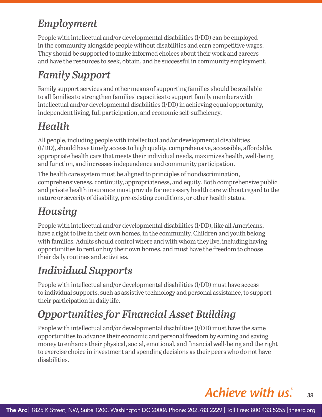## *Employment*

People with intellectual and/or developmental disabilities (I/DD) can be employed in the community alongside people without disabilities and earn competitive wages. They should be supported to make informed choices about their work and careers and have the resources to seek, obtain, and be successful in community employment.

# *Family Support*

Family support services and other means of supporting families should be available to all families to strengthen families' capacities to support family members with intellectual and/or developmental disabilities (I/DD) in achieving equal opportunity, independent living, full participation, and economic self-sufficiency.

### *Health*

All people, including people with intellectual and/or developmental disabilities (I/DD), should have timely access to high quality, comprehensive, accessible, affordable, appropriate health care that meets their individual needs, maximizes health, well-being and function, and increases independence and community participation.

The health care system must be aligned to principles of nondiscrimination, comprehensiveness, continuity, appropriateness, and equity. Both comprehensive public and private health insurance must provide for necessary health care without regard to the nature or severity of disability, pre-existing conditions, or other health status.

## *Housing*

People with intellectual and/or developmental disabilities (I/DD), like all Americans, have a right to live in their own homes, in the community. Children and youth belong with families. Adults should control where and with whom they live, including having opportunities to rent or buy their own homes, and must have the freedom to choose their daily routines and activities.

# *Individual Supports*

People with intellectual and/or developmental disabilities (I/DD) must have access to individual supports, such as assistive technology and personal assistance, to support their participation in daily life.

# *Opportunities for Financial Asset Building*

People with intellectual and/or developmental disabilities (I/DD) must have the same opportunities to advance their economic and personal freedom by earning and saving money to enhance their physical, social, emotional, and financial well-being and the right to exercise choice in investment and spending decisions as their peers who do not have disabilities.

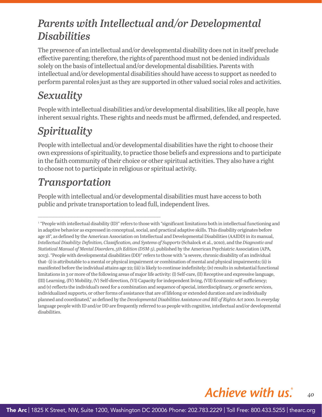### *Parents with Intellectual and/or Developmental Disabilities*

The presence of an intellectual and/or developmental disability does not in itself preclude effective parenting; therefore, the rights of parenthood must not be denied individuals solely on the basis of intellectual and/or developmental disabilities. Parents with intellectual and/or developmental disabilities should have access to support as needed to perform parental roles just as they are supported in other valued social roles and activities.

## *Sexuality*

People with intellectual disabilities and/or developmental disabilities, like all people, have inherent sexual rights. These rights and needs must be affirmed, defended, and respected.

# *Spirituality*

People with intellectual and/or developmental disabilities have the right to choose their own expressions of spirituality, to practice those beliefs and expressions and to participate in the faith community of their choice or other spiritual activities. They also have a right to choose not to participate in religious or spiritual activity.

## *Transportation*

 $\overline{\phantom{a}}$  , and the set of the set of the set of the set of the set of the set of the set of the set of the set of the set of the set of the set of the set of the set of the set of the set of the set of the set of the s

People with intellectual and/or developmental disabilities must have access to both public and private transportation to lead full, independent lives.



<sup>1</sup> "People with intellectual disability (ID)" refers to those with "significant limitations both in intellectual functioning and in adaptive behavior as expressed in conceptual, social, and practical adaptive skills. This disability originates before age 18", as defined by the American Association on Intellectual and Developmental Disabilities (AAIDD) in its manual, *Intellectual Disability: Definition, Classification, and Systems of Supports* (Schalock et al., 2010), and the *Diagnostic and Statistical Manual of Mental Disorders, 5th Edition (DSM-5)*, published by the American Psychiatric Association (APA, 2013). "People with developmental disabilities (DD)" refers to those with "a severe, chronic disability of an individual that- (i) is attributable to a mental or physical impairment or combination of mental and physical impairments; (ii) is manifested before the individual attains age 22; (iii) is likely to continue indefinitely; (iv) results in substantial functional limitations in 3 or more of the following areas of major life activity: (I) Self-care, (II) Receptive and expressive language, (III) Learning, (IV) Mobility, (V) Self-direction, (VI) Capacity for independent living, (VII) Economic self-sufficiency; and (v) reflects the individual's need for a combination and sequence of special, interdisciplinary, or generic services, individualized supports, or other forms of assistance that are of lifelong or extended duration and are individually planned and coordinated," as defined by the *Developmental Disabilities Assistance and Bill of Rights Act 2000*. In everyday language people with ID and/or DD are frequently referred to as people with cognitive, intellectual and/or developmental disabilities.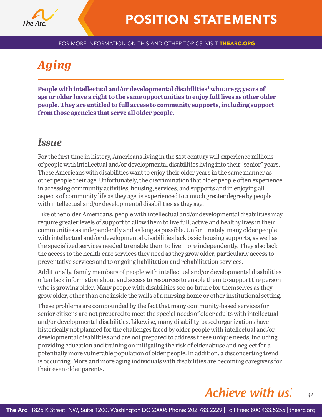

# *Aging*

**People with intellectual and/or developmental disabilities**1 **who are 55 years of age or older have a right to the same opportunities to enjoy full lives as other older people. They are entitled to full access to community supports, including support from those agencies that serve all older people.**

### *Issue*

For the first time in history, Americans living in the 21st century will experience millions of people with intellectual and/or developmental disabilities living into their "senior" years. These Americans with disabilities want to enjoy their older years in the same manner as other people their age. Unfortunately, the discrimination that older people often experience in accessing community activities, housing, services, and supports and in enjoying all aspects of community life as they age, is experienced to a much greater degree by people with intellectual and/or developmental disabilities as they age.

Like other older Americans, people with intellectual and/or developmental disabilities may require greater levels of support to allow them to live full, active and healthy lives in their communities as independently and as long as possible. Unfortunately, many older people with intellectual and/or developmental disabilities lack basic housing supports, as well as the specialized services needed to enable them to live more independently. They also lack the access to the health care services they need as they grow older, particularly access to preventative services and to ongoing habilitation and rehabilitation services.

Additionally, family members of people with intellectual and/or developmental disabilities often lack information about and access to resources to enable them to support the person who is growing older. Many people with disabilities see no future for themselves as they grow older, other than one inside the walls of a nursing home or other institutional setting.

These problems are compounded by the fact that many community-based services for senior citizens are not prepared to meet the special needs of older adults with intellectual and/or developmental disabilities. Likewise, many disability-based organizations have historically not planned for the challenges faced by older people with intellectual and/or developmental disabilities and are not prepared to address these unique needs, including providing education and training on mitigating the risk of elder abuse and neglect for a potentially more vulnerable population of older people. In addition, a disconcerting trend is occurring. More and more aging individuals with disabilities are becoming caregivers for their even older parents.

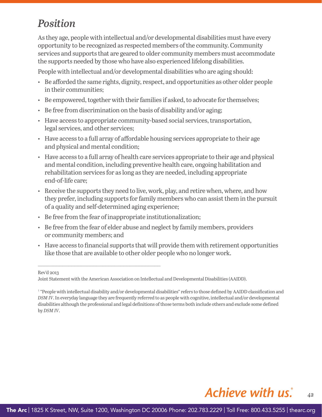### *Position*

As they age, people with intellectual and/or developmental disabilities must have every opportunity to be recognized as respected members of the community. Community services and supports that are geared to older community members must accommodate the supports needed by those who have also experienced lifelong disabilities.

People with intellectual and/or developmental disabilities who are aging should:

- Be afforded the same rights, dignity, respect, and opportunities as other older people in their communities;
- Be empowered, together with their families if asked, to advocate for themselves;
- Be free from discrimination on the basis of disability and/or aging;
- Have access to appropriate community-based social services, transportation, legal services, and other services;
- Have access to a full array of affordable housing services appropriate to their age and physical and mental condition;
- Have access to a full array of health care services appropriate to their age and physical and mental condition, including preventive health care, ongoing habilitation and rehabilitation services for as long as they are needed, including appropriate end-of-life care;
- Receive the supports they need to live, work, play, and retire when, where, and how they prefer, including supports for family members who can assist them in the pursuit of a quality and self-determined aging experience;
- Be free from the fear of inappropriate institutionalization;

 $\overline{\phantom{a}}$  , and the set of the set of the set of the set of the set of the set of the set of the set of the set of the set of the set of the set of the set of the set of the set of the set of the set of the set of the s

- Be free from the fear of elder abuse and neglect by family members, providers or community members; and
- Have access to financial supports that will provide them with retirement opportunities like those that are available to other older people who no longer work.



Rev'd 2013

Joint Statement with the American Association on Intellectual and Developmental Disabilities (AAIDD).

<sup>1</sup> "People with intellectual disability and/or developmental disabilities" refers to those defined by AAIDD classification and *DSM IV*. In everyday language they are frequently referred to as people with cognitive, intellectual and/or developmental disabilities although the professional and legal definitions of those terms both include others and exclude some defined by *DSM IV*.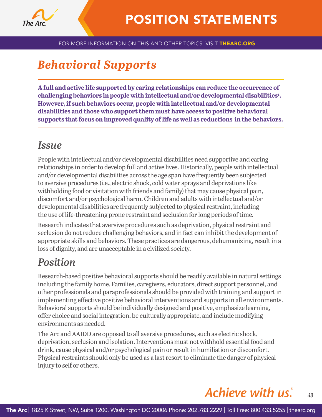

## *Behavioral Supports*

**A full and active life supported by caring relationships can reduce the occurrence of challenging behaviors in people with intellectual and/or developmental disabilities1 . However, if such behaviors occur, people with intellectual and/or developmental disabilities and those who support them must have access to positive behavioral supports that focus on improved quality of life as well as reductions in the behaviors.**

### *Issue*

People with intellectual and/or developmental disabilities need supportive and caring relationships in order to develop full and active lives. Historically, people with intellectual and/or developmental disabilities across the age span have frequently been subjected to aversive procedures (i.e., electric shock, cold water sprays and deprivations like withholding food or visitation with friends and family) that may cause physical pain, discomfort and/or psychological harm. Children and adults with intellectual and/or developmental disabilities are frequently subjected to physical restraint, including the use of life-threatening prone restraint and seclusion for long periods of time.

Research indicates that aversive procedures such as deprivation, physical restraint and seclusion do not reduce challenging behaviors, and in fact can inhibit the development of appropriate skills and behaviors. These practices are dangerous, dehumanizing, result in a loss of dignity, and are unacceptable in a civilized society.

### *Position*

Research-based positive behavioral supports should be readily available in natural settings including the family home. Families, caregivers, educators, direct support personnel, and other professionals and paraprofessionals should be provided with training and support in implementing effective positive behavioral interventions and supports in all environments. Behavioral supports should be individually designed and positive, emphasize learning, offer choice and social integration, be culturally appropriate, and include modifying environments as needed.

The Arc and AAIDD are opposed to all aversive procedures, such as electric shock, deprivation, seclusion and isolation. Interventions must not withhold essential food and drink, cause physical and/or psychological pain or result in humiliation or discomfort. Physical restraints should only be used as a last resort to eliminate the danger of physical injury to self or others.

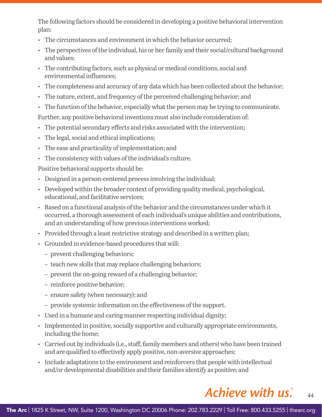The following factors should be considered in developing a positive behavioral intervention plan:

- The circumstances and environment in which the behavior occurred;
- The perspectives of the individual, his or her family and their social/cultural background and values;
- The contributing factors, such as physical or medical conditions, social and environmental influences;
- The completeness and accuracy of any data which has been collected about the behavior;
- The nature, extent, and frequency of the perceived challenging behavior; and
- The function of the behavior, especially what the person may be trying to communicate.

Further, any positive behavioral inventions must also include consideration of:

- The potential secondary effects and risks associated with the intervention;
- The legal, social and ethical implications;
- The ease and practicality of implementation; and
- The consistency with values of the individual's culture.

Positive behavioral supports should be:

- Designed in a person-centered process involving the individual;
- Developed within the broader context of providing quality medical, psychological, educational, and facilitative services;
- Based on a functional analysis of the behavior and the circumstances under which it occurred, a thorough assessment of each individual's unique abilities and contributions, and an understanding of how previous interventions worked;
- Provided through a least restrictive strategy and described in a written plan;
- Grounded in evidence-based procedures that will:
	- prevent challenging behaviors;
	- teach new skills that may replace challenging behaviors;
	- prevent the on-going reward of a challenging behavior;
	- reinforce positive behavior;
	- ensure safety (when necessary); and
	- provide systemic information on the effectiveness of the support.
- Used in a humane and caring manner respecting individual dignity;
- Implemented in positive, socially supportive and culturally appropriate environments, including the home;
- Carried out by individuals (i.e., staff, family members and others) who have been trained and are qualified to effectively apply positive, non-aversive approaches;
- Include adaptations to the environment and reinforcers that people with intellectual and/or developmental disabilities and their families identify as positive; and

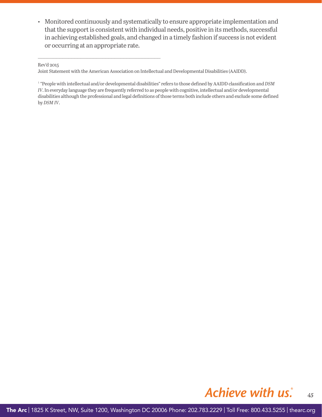• Monitored continuously and systematically to ensure appropriate implementation and that the support is consistent with individual needs, positive in its methods, successful in achieving established goals, and changed in a timely fashion if success is not evident or occurring at an appropriate rate.

#### Rev'd 2015

Joint Statement with the American Association on Intellectual and Developmental Disabilities (AAIDD).

 $\overline{\phantom{a}}$  , and the set of the set of the set of the set of the set of the set of the set of the set of the set of the set of the set of the set of the set of the set of the set of the set of the set of the set of the s

1 "People with intellectual and/or developmental disabilities" refers to those defined by AAIDD classification and *DSM IV*. In everyday language they are frequently referred to as people with cognitive, intellectual and/or developmental disabilities although the professional and legal definitions of those terms both include others and exclude some defined by *DSM IV*.

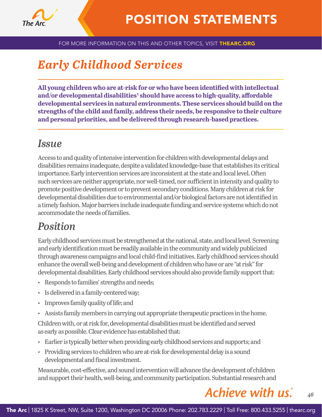

# *Early Childhood Services*

**All young children who are at-risk for or who have been identified with intellectual and/or developmental disabilities**1 **should have access to high-quality, affordable developmental services in natural environments. These services should build on the strengths of the child and family, address their needs, be responsive to their culture and personal priorities, and be delivered through research-based practices.**

### *Issue*

Access to and quality of intensive intervention for children with developmental delays and disabilities remains inadequate, despite a validated knowledge-base that establishes its critical importance. Early intervention services are inconsistent at the state and local level. Often such services are neither appropriate, nor well-timed, nor sufficient in intensity and quality to promote positive development or to prevent secondary conditions. Many children at risk for developmental disabilities due to environmental and/or biological factors are not identified in a timely fashion. Major barriers include inadequate funding and service systems which do not accommodate the needs of families.

### *Position*

Early childhood services must be strengthened at the national, state, and local level. Screening and early identification must be readily available in the community and widely publicized through awareness campaigns and local child-find initiatives. Early childhood services should enhance the overall well-being and development of children who have or are "at risk" for developmental disabilities. Early childhood services should also provide family support that:

- Responds to families' strengths and needs;
- Is delivered in a family-centered way;
- Improves family quality of life; and
- Assists family members in carrying out appropriate therapeutic practices in the home.

Children with, or at risk for, developmental disabilities must be identified and served as early as possible. Clear evidence has established that:

- Earlier is typically better when providing early childhood services and supports; and
- Providing services to children who are at-risk for developmental delay is a sound developmental and fiscal investment.

Measurable, cost-effective, and sound intervention will advance the development of children and support their health, well-being, and community participation. Substantial research and

#### **Achieve with us.** *46*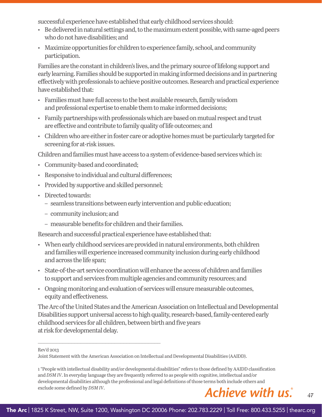successful experience have established that early childhood services should:

- Be delivered in natural settings and, to the maximum extent possible, with same-aged peers who do not have disabilities; and
- Maximize opportunities for children to experience family, school, and community participation.

Families are the constant in children's lives, and the primary source of lifelong support and early learning. Families should be supported in making informed decisions and in partnering effectively with professionals to achieve positive outcomes. Research and practical experience have established that:

- Families must have full access to the best available research, family wisdom and professional expertise to enable them to make informed decisions;
- Family partnerships with professionals which are based on mutual respect and trust are effective and contribute to family quality of life outcomes; and
- Children who are either in foster care or adoptive homes must be particularly targeted for screening for at-risk issues.

Children and families must have access to a system of evidence-based services which is:

- Community-based and coordinated;
- Responsive to individual and cultural differences;
- Provided by supportive and skilled personnel;

 $\overline{\phantom{a}}$  , and the set of the set of the set of the set of the set of the set of the set of the set of the set of the set of the set of the set of the set of the set of the set of the set of the set of the set of the s

- Directed towards:
	- seamless transitions between early intervention and public education;
	- community inclusion; and
	- measurable benefits for children and their families.

Research and successful practical experience have established that:

- When early childhood services are provided in natural environments, both children and families will experience increased community inclusion during early childhood and across the life span;
- State-of-the-art service coordination will enhance the access of children and families to support and services from multiple agencies and community resources; and
- Ongoing monitoring and evaluation of services will ensure measurable outcomes, equity and effectiveness.

The Arc of the United States and the American Association on Intellectual and Developmental Disabilities support universal access to high quality, research-based, family-centered early childhood services for all children, between birth and five years at risk for developmental delay.

<sup>1 &</sup>quot;People with intellectual disability and/or developmental disabilities" refers to those defined by AAIDD classification and *DSM IV*. In everyday language they are frequently referred to as people with cognitive, intellectual and/or developmental disabilities although the professional and legal definitions of those terms both include others and exclude some defined by *DSM IV*.



Rev'd 2013

Joint Statement with the American Association on Intellectual and Developmental Disabilities (AAIDD).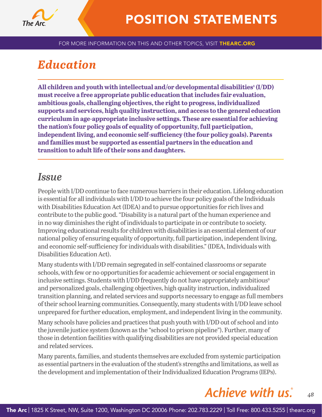

### *Education*

All children and youth with intellectual and/or developmental disabilities<sup>1</sup> (I/DD) **must receive a free appropriate public education that includes fair evaluation, ambitious goals, challenging objectives, the right to progress, individualized supports and services, high quality instruction, and access to the general education curriculum in age-appropriate inclusive settings. These are essential for achieving the nation's four policy goals of equality of opportunity, full participation, independent living, and economic self-sufficiency (the four policy goals). Parents and families must be supported as essential partners in the education and transition to adult life of their sons and daughters.**

### *Issue*

People with I/DD continue to face numerous barriers in their education. Lifelong education is essential for all individuals with I/DD to achieve the four policy goals of the Individuals with Disabilities Education Act (IDEA) and to pursue opportunities for rich lives and contribute to the public good. "Disability is a natural part of the human experience and in no way diminishes the right of individuals to participate in or contribute to society. Improving educational results for children with disabilities is an essential element of our national policy of ensuring equality of opportunity, full participation, independent living, and economic self-sufficiency for individuals with disabilities." (IDEA, Individuals with Disabilities Education Act).

Many students with I/DD remain segregated in self-contained classrooms or separate schools, with few or no opportunities for academic achievement or social engagement in inclusive settings. Students with I/DD frequently do not have appropriately ambitious $^2$ and personalized goals, challenging objectives, high quality instruction, individualized transition planning, and related services and supports necessary to engage as full members of their school learning communities. Consequently, many students with I/DD leave school unprepared for further education, employment, and independent living in the community.

Many schools have policies and practices that push youth with I/DD out of school and into the juvenile justice system (known as the "school to prison pipeline"). Further, many of those in detention facilities with qualifying disabilities are not provided special education and related services.

Many parents, families, and students themselves are excluded from systemic participation as essential partners in the evaluation of the student's strengths and limitations, as well as the development and implementation of their Individualized Education Programs (IEPs).

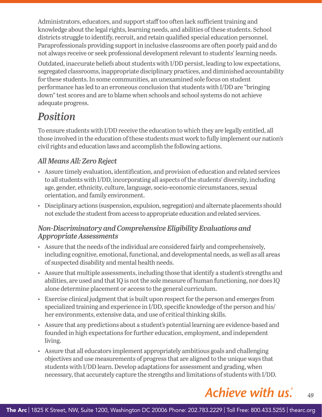Administrators, educators, and support staff too often lack sufficient training and knowledge about the legal rights, learning needs, and abilities of these students. School districts struggle to identify, recruit, and retain qualified special education personnel. Paraprofessionals providing support in inclusive classrooms are often poorly paid and do not always receive or seek professional development relevant to students' learning needs.

Outdated, inaccurate beliefs about students with I/DD persist, leading to low expectations, segregated classrooms, inappropriate disciplinary practices, and diminished accountability for these students. In some communities, an unexamined sole focus on student performance has led to an erroneous conclusion that students with I/DD are "bringing down" test scores and are to blame when schools and school systems do not achieve adequate progress.

### *Position*

To ensure students with I/DD receive the education to which they are legally entitled, all those involved in the education of these students must work to fully implement our nation's civil rights and education laws and accomplish the following actions.

### *All Means All: Zero Reject*

- Assure timely evaluation, identification, and provision of education and related services to all students with I/DD, incorporating all aspects of the students' diversity, including age, gender, ethnicity, culture, language, socio-economic circumstances, sexual orientation, and family environment.
- Disciplinary actions (suspension, expulsion, segregation) and alternate placements should not exclude the student from access to appropriate education and related services.

#### *Non-Discriminatory and Comprehensive Eligibility Evaluations and Appropriate Assessments*

- Assure that the needs of the individual are considered fairly and comprehensively, including cognitive, emotional, functional, and developmental needs, as well as all areas of suspected disability and mental health needs.
- Assure that multiple assessments, including those that identify a student's strengths and abilities, are used and that IQ is not the sole measure of human functioning, nor does IQ alone determine placement or access to the general curriculum.
- Exercise clinical judgment that is built upon respect for the person and emerges from specialized training and experience in I/DD, specific knowledge of the person and his/ her environments, extensive data, and use of critical thinking skills.
- Assure that any predictions about a student's potential learning are evidence-based and founded in high expectations for further education, employment, and independent living.
- Assure that all educators implement appropriately ambitious goals and challenging objectives and use measurements of progress that are aligned to the unique ways that students with I/DD learn. Develop adaptations for assessment and grading, when necessary, that accurately capture the strengths and limitations of students with I/DD.

# **Achieve with us.**

*49*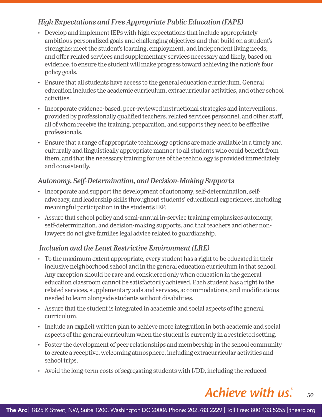#### *High Expectations and Free Appropriate Public Education (FAPE)*

- Develop and implement IEPs with high expectations that include appropriately ambitious personalized goals and challenging objectives and that build on a student's strengths; meet the student's learning, employment, and independent living needs; and offer related services and supplementary services necessary and likely, based on evidence, to ensure the student will make progress toward achieving the nation's four policy goals.
- Ensure that all students have access to the general education curriculum. General education includes the academic curriculum, extracurricular activities, and other school activities.
- Incorporate evidence-based, peer-reviewed instructional strategies and interventions, provided by professionally qualified teachers, related services personnel, and other staff, all of whom receive the training, preparation, and supports they need to be effective professionals.
- Ensure that a range of appropriate technology options are made available in a timely and culturally and linguistically appropriate manner to all students who could benefit from them, and that the necessary training for use of the technology is provided immediately and consistently.

#### *Autonomy, Self-Determination, and Decision-Making Supports*

- Incorporate and support the development of autonomy, self-determination, selfadvocacy, and leadership skills throughout students' educational experiences, including meaningful participation in the student's IEP.
- Assure that school policy and semi-annual in-service training emphasizes autonomy, self-determination, and decision-making supports, and that teachers and other nonlawyers do not give families legal advice related to guardianship.

#### *Inclusion and the Least Restrictive Environment (LRE)*

- To the maximum extent appropriate, every student has a right to be educated in their inclusive neighborhood school and in the general education curriculum in that school. Any exception should be rare and considered only when education in the general education classroom cannot be satisfactorily achieved. Each student has a right to the related services, supplementary aids and services, accommodations, and modifications needed to learn alongside students without disabilities.
- Assure that the student is integrated in academic and social aspects of the general curriculum.
- Include an explicit written plan to achieve more integration in both academic and social aspects of the general curriculum when the student is currently in a restricted setting.
- Foster the development of peer relationships and membership in the school community to create a receptive, welcoming atmosphere, including extracurricular activities and school trips.
- Avoid the long-term costs of segregating students with I/DD, including the reduced

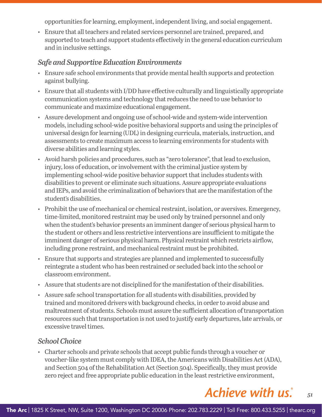opportunities for learning, employment, independent living, and social engagement.

• Ensure that all teachers and related services personnel are trained, prepared, and supported to teach and support students effectively in the general education curriculum and in inclusive settings.

#### *Safe and Supportive Education Environments*

- Ensure safe school environments that provide mental health supports and protection against bullying.
- Ensure that all students with I/DD have effective culturally and linguistically appropriate communication systems and technology that reduces the need to use behavior to communicate and maximize educational engagement.
- Assure development and ongoing use of school-wide and system-wide intervention models, including school-wide positive behavioral supports and using the principles of universal design for learning (UDL) in designing curricula, materials, instruction, and assessments to create maximum access to learning environments for students with diverse abilities and learning styles.
- Avoid harsh policies and procedures, such as "zero tolerance", that lead to exclusion, injury, loss of education, or involvement with the criminal justice system by implementing school-wide positive behavior support that includes students with disabilities to prevent or eliminate such situations. Assure appropriate evaluations and IEPs, and avoid the criminalization of behaviors that are the manifestation of the student's disabilities.
- Prohibit the use of mechanical or chemical restraint, isolation, or aversives. Emergency, time-limited, monitored restraint may be used only by trained personnel and only when the student's behavior presents an imminent danger of serious physical harm to the student or others and less restrictive interventions are insufficient to mitigate the imminent danger of serious physical harm. Physical restraint which restricts airflow, including prone restraint, and mechanical restraint must be prohibited.
- Ensure that supports and strategies are planned and implemented to successfully reintegrate a student who has been restrained or secluded back into the school or classroom environment.
- Assure that students are not disciplined for the manifestation of their disabilities.
- Assure safe school transportation for all students with disabilities, provided by trained and monitored drivers with background checks, in order to avoid abuse and maltreatment of students. Schools must assure the sufficient allocation of transportation resources such that transportation is not used to justify early departures, late arrivals, or excessive travel times.

#### *School Choice*

• Charter schools and private schools that accept public funds through a voucher or voucher-like system must comply with IDEA, the Americans with Disabilities Act (ADA), and Section 504 of the Rehabilitation Act (Section 504). Specifically, they must provide zero reject and free appropriate public education in the least restrictive environment,

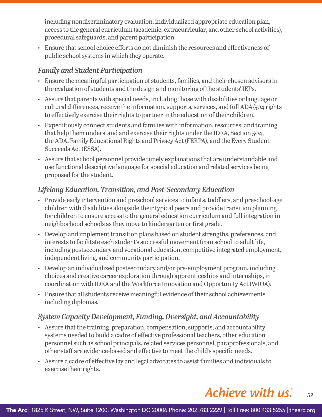including nondiscriminatory evaluation, individualized appropriate education plan, access to the general curriculum (academic, extracurricular, and other school activities), procedural safeguards, and parent participation.

• Ensure that school choice efforts do not diminish the resources and effectiveness of public school systems in which they operate.

#### *Family and Student Participation*

- Ensure the meaningful participation of students, families, and their chosen advisors in the evaluation of students and the design and monitoring of the students' IEPs.
- Assure that parents with special needs, including those with disabilities or language or cultural differences, receive the information, supports, services, and full ADA/504 rights to effectively exercise their rights to partner in the education of their children.
- Expeditiously connect students and families with information, resources, and training that help them understand and exercise their rights under the IDEA, Section 504, the ADA, Family Educational Rights and Privacy Act (FERPA), and the Every Student Succeeds Act (ESSA).
- Assure that school personnel provide timely explanations that are understandable and use functional descriptive language for special education and related services being proposed for the student.

#### *Lifelong Education, Transition, and Post-Secondary Education*

- Provide early intervention and preschool services to infants, toddlers, and preschool-age children with disabilities alongside their typical peers and provide transition planning for children to ensure access to the general education curriculum and full integration in neighborhood schools as they move to kindergarten or first grade.
- Develop and implement transition plans based on student strengths, preferences, and interests to facilitate each student's successful movement from school to adult life, including postsecondary and vocational education, competitive integrated employment, independent living, and community participation.
- Develop an individualized postsecondary and/or pre-employment program, including choices and creative career exploration through apprenticeships and internships, in coordination with IDEA and the Workforce Innovation and Opportunity Act (WIOA).
- Ensure that all students receive meaningful evidence of their school achievements including diplomas.

#### *System Capacity Development, Funding, Oversight, and Accountability*

- Assure that the training, preparation, compensation, supports, and accountability systems needed to build a cadre of effective professional teachers, other education personnel such as school principals, related services personnel, paraprofessionals, and other staff are evidence-based and effective to meet the child's specific needs.
- Assure a cadre of effective lay and legal advocates to assist families and individuals to exercise their rights.

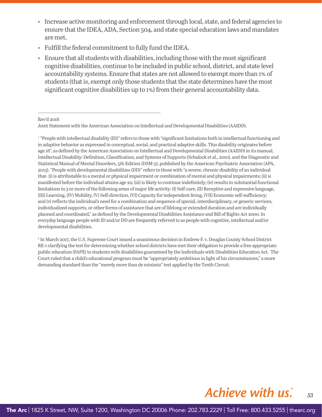- Increase active monitoring and enforcement through local, state, and federal agencies to ensure that the IDEA, ADA, Section 504, and state special education laws and mandates are met.
- Fulfill the federal commitment to fully fund the IDEA.

 $\overline{\phantom{a}}$  , and the set of the set of the set of the set of the set of the set of the set of the set of the set of the set of the set of the set of the set of the set of the set of the set of the set of the set of the s

• Ensure that all students with disabilities, including those with the most significant cognitive disabilities, continue to be included in public school, district, and state level accountability systems. Ensure that states are not allowed to exempt more than 1% of students (that is, exempt only those students that the state determines have the most significant cognitive disabilities up to 1%) from their general accountability data.

Rev'd 2018

Joint Statement with the American Association on Intellectual and Developmental Disabilities (AAIDD).

1 "People with intellectual disability (ID)" refers to those with "significant limitations both in intellectual functioning and in adaptive behavior as expressed in conceptual, social, and practical adaptive skills. This disability originates before age 18", as defined by the American Association on Intellectual and Developmental Disabilities (AAIDD) in its manual, Intellectual Disability: Definition, Classification, and Systems of Supports (Schalock et al., 2010), and the Diagnostic and Statistical Manual of Mental Disorders, 5th Edition (DSM-5), published by the American Psychiatric Association (APA, 2013). "People with developmental disabilities (DD)" refers to those with "a severe, chronic disability of an individual that- (i) is attributable to a mental or physical impairment or combination of mental and physical impairments; (ii) is manifested before the individual attains age 22; (iii) is likely to continue indefinitely; (iv) results in substantial functional limitations in 3 or more of the following areas of major life activity: (I) Self-care, (II) Receptive and expressive language, (III) Learning, (IV) Mobility, (V) Self-direction, (VI) Capacity for independent living, (VII) Economic self-sufficiency; and (v) reflects the individual's need for a combination and sequence of special, interdisciplinary, or generic services, individualized supports, or other forms of assistance that are of lifelong or extended duration and are individually planned and coordinated," as defined by the Developmental Disabilities Assistance and Bill of Rights Act 2000. In everyday language people with ID and/or DD are frequently referred to as people with cognitive, intellectual and/or developmental disabilities.

2 In March 2017, the U.S. Supreme Court issued a unanimous decision in Endrew F. v. Douglas County School District RE-1 clarifying the test for determining whether school districts have met their obligation to provide a free appropriate public education (FAPE) to students with disabilities guaranteed by the Individuals with Disabilities Education Act. The Court ruled that a child's educational program must be "appropriately ambitious in light of his circumstances," a more demanding standard than the "merely more than de minimis" test applied by the Tenth Circuit.

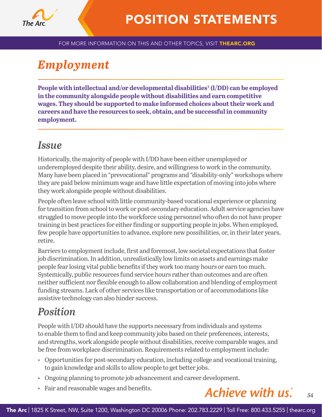

### *Employment*

**People with intellectual and/or developmental disabilities**1 **(I/DD) can be employed in the community alongside people without disabilities and earn competitive wages. They should be supported to make informed choices about their work and careers and have the resources to seek, obtain, and be successful in community employment.**

### *Issue*

Historically, the majority of people with I/DD have been either unemployed or underemployed despite their ability, desire, and willingness to work in the community. Many have been placed in "prevocational" programs and "disability-only" workshops where they are paid below minimum wage and have little expectation of moving into jobs where they work alongside people without disabilities.

People often leave school with little community-based vocational experience or planning for transition from school to work or post-secondary education. Adult service agencies have struggled to move people into the workforce using personnel who often do not have proper training in best practices for either finding or supporting people in jobs. When employed, few people have opportunities to advance, explore new possibilities, or, in their later years, retire.

Barriers to employment include, first and foremost, low societal expectations that foster job discrimination. In addition, unrealistically low limits on assets and earnings make people fear losing vital public benefits if they work too many hours or earn too much. Systemically, public resources fund service hours rather than outcomes and are often neither sufficient nor flexible enough to allow collaboration and blending of employment funding streams. Lack of other services like transportation or of accommodations like assistive technology can also hinder success.

### *Position*

People with I/DD should have the supports necessary from individuals and systems to enable them to find and keep community jobs based on their preferences, interests, and strengths, work alongside people without disabilities, receive comparable wages, and be free from workplace discrimination. Requirements related to employment include:

- Opportunities for post-secondary education, including college and vocational training, to gain knowledge and skills to allow people to get better jobs.
- Ongoing planning to promote job advancement and career development.
- Fair and reasonable wages and benefits.

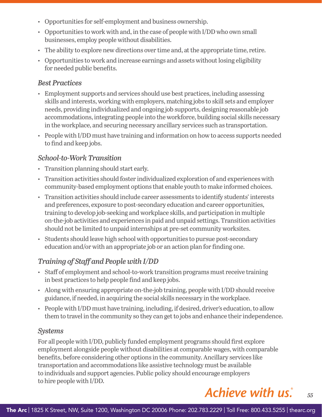- Opportunities for self-employment and business ownership.
- Opportunities to work with and, in the case of people with I/DD who own small businesses, employ people without disabilities.
- The ability to explore new directions over time and, at the appropriate time, retire.
- Opportunities to work and increase earnings and assets without losing eligibility for needed public benefits.

#### *Best Practices*

- Employment supports and services should use best practices, including assessing skills and interests, working with employers, matching jobs to skill sets and employer needs, providing individualized and ongoing job supports, designing reasonable job accommodations, integrating people into the workforce, building social skills necessary in the workplace, and securing necessary ancillary services such as transportation.
- People with I/DD must have training and information on how to access supports needed to find and keep jobs.

#### *School-to-Work Transition*

- Transition planning should start early.
- Transition activities should foster individualized exploration of and experiences with community-based employment options that enable youth to make informed choices.
- Transition activities should include career assessments to identify students' interests and preferences, exposure to post-secondary education and career opportunities, training to develop job-seeking and workplace skills, and participation in multiple on-the-job activities and experiences in paid and unpaid settings. Transition activities should not be limited to unpaid internships at pre-set community worksites.
- Students should leave high school with opportunities to pursue post-secondary education and/or with an appropriate job or an action plan for finding one.

#### *Training of Staff and People with I/DD*

- Staff of employment and school-to-work transition programs must receive training in best practices to help people find and keep jobs.
- Along with ensuring appropriate on-the-job training, people with I/DD should receive guidance, if needed, in acquiring the social skills necessary in the workplace.
- People with I/DD must have training, including, if desired, driver's education, to allow them to travel in the community so they can get to jobs and enhance their independence.

#### *Systems*

For all people with I/DD, publicly funded employment programs should first explore employment alongside people without disabilities at comparable wages, with comparable benefits, before considering other options in the community. Ancillary services like transportation and accommodations like assistive technology must be available to individuals and support agencies. Public policy should encourage employers to hire people with I/DD.

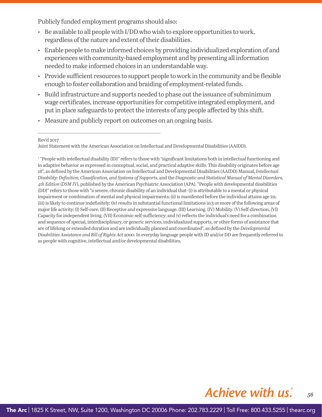Publicly funded employment programs should also:

- Be available to all people with I/DD who wish to explore opportunities to work, regardless of the nature and extent of their disabilities.
- Enable people to make informed choices by providing individualized exploration of and experiences with community-based employment and by presenting all information needed to make informed choices in an understandable way.
- Provide sufficient resources to support people to work in the community and be flexible enough to foster collaboration and braiding of employment-related funds.
- Build infrastructure and supports needed to phase out the issuance of subminimum wage certificates, increase opportunities for competitive integrated employment, and put in place safeguards to protect the interests of any people affected by this shift.
- Measure and publicly report on outcomes on an ongoing basis.

 $\overline{\phantom{a}}$  , and the set of the set of the set of the set of the set of the set of the set of the set of the set of the set of the set of the set of the set of the set of the set of the set of the set of the set of the s

Rev'd 2017

<sup>1</sup>"People with intellectual disability (ID)" refers to those with "significant limitations both in intellectual functioning and in adaptive behavior as expressed in conceptual, social, and practical adaptive skills. This disability originates before age 18", as defined by the American Association on Intellectual and Developmental Disabilities (AAIDD) Manual, *Intellectual Disability: Definition, Classification, and Systems of Supports*, and the *Diagnostic and Statistical Manual of Mental Disorders, 4th Edition* (*DSM IV*), published by the American Psychiatric Association (APA). "People with developmental disabilities (DD)" refers to those with "a severe, chronic disability of an individual that- (i) is attributable to a mental or physical impairment or combination of mental and physical impairments; (ii) is manifested before the individual attains age 22; (iii) is likely to continue indefinitely; (iv) results in substantial functional limitations in 3 or more of the following areas of major life activity: (I) Self-care. (II) Receptive and expressive language. (III) Learning. (IV) Mobility. (V) Self-direction. (VI) Capacity for independent living. (VII) Economic self-sufficiency; and (v) reflects the individual's need for a combination and sequence of special, interdisciplinary, or generic services, individualized supports, or other forms of assistance that are of lifelong or extended duration and are individually planned and coordinated", as defined by the *Developmental Disabilities Assistance and Bill of Rights Act 2000*. In everyday language people with ID and/or DD are frequently referred to as people with cognitive, intellectual and/or developmental disabilities.



Joint Statement with the American Association on Intellectual and Developmental Disabilities (AAIDD).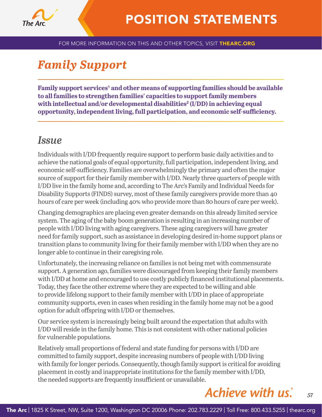

## *Family Support*

**Family support services**1 **and other means of supporting families should be available to all families to strengthen families' capacities to support family members**  with intellectual and/or developmental disabilities<sup>2</sup> (I/DD) in achieving equal **opportunity, independent living, full participation, and economic self-sufficiency.**

### *Issue*

Individuals with I/DD frequently require support to perform basic daily activities and to achieve the national goals of equal opportunity, full participation, independent living, and economic self-sufficiency. Families are overwhelmingly the primary and often the major source of support for their family member with I/DD. Nearly three quarters of people with I/DD live in the family home and, according to The Arc's Family and Individual Needs for Disability Supports (FINDS) survey, most of these family caregivers provide more than 40 hours of care per week (including 40% who provide more than 80 hours of care per week).

Changing demographics are placing even greater demands on this already limited service system. The aging of the baby boom generation is resulting in an increasing number of people with I/DD living with aging caregivers. These aging caregivers will have greater need for family support, such as assistance in developing desired in-home support plans or transition plans to community living for their family member with I/DD when they are no longer able to continue in their caregiving role.

Unfortunately, the increasing reliance on families is not being met with commensurate support. A generation ago, families were discouraged from keeping their family members with I/DD at home and encouraged to use costly publicly financed institutional placements. Today, they face the other extreme where they are expected to be willing and able to provide lifelong support to their family member with I/DD in place of appropriate community supports, even in cases when residing in the family home may not be a good option for adult offspring with I/DD or themselves.

Our service system is increasingly being built around the expectation that adults with I/DD will reside in the family home. This is not consistent with other national policies for vulnerable populations.

Relatively small proportions of federal and state funding for persons with I/DD are committed to family support, despite increasing numbers of people with I/DD living with family for longer periods. Consequently, though family support is critical for avoiding placement in costly and inappropriate institutions for the family member with I/DD, the needed supports are frequently insufficient or unavailable.

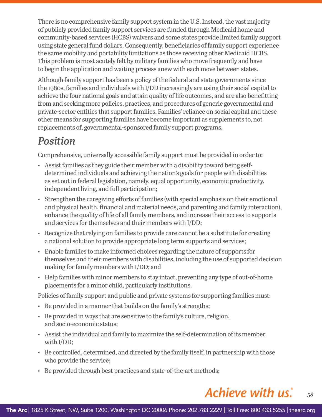There is no comprehensive family support system in the U.S. Instead, the vast majority of publicly provided family support services are funded through Medicaid home and community-based services (HCBS) waivers and some states provide limited family support using state general fund dollars. Consequently, beneficiaries of family support experience the same mobility and portability limitations as those receiving other Medicaid HCBS. This problem is most acutely felt by military families who move frequently and have to begin the application and waiting process anew with each move between states.

Although family support has been a policy of the federal and state governments since the 1980s, families and individuals with I/DD increasingly are using their social capital to achieve the four national goals and attain quality of life outcomes, and are also benefitting from and seeking more policies, practices, and procedures of generic governmental and private-sector entities that support families. Families' reliance on social capital and these other means for supporting families have become important as supplements to, not replacements of, governmental-sponsored family support programs.

## *Position*

Comprehensive, universally accessible family support must be provided in order to:

- Assist families as they guide their member with a disability toward being selfdetermined individuals and achieving the nation's goals for people with disabilities as set out in federal legislation, namely, equal opportunity, economic productivity, independent living, and full participation;
- Strengthen the caregiving efforts of families (with special emphasis on their emotional and physical health, financial and material needs, and parenting and family interaction), enhance the quality of life of all family members, and increase their access to supports and services for themselves and their members with I/DD;
- Recognize that relying on families to provide care cannot be a substitute for creating a national solution to provide appropriate long term supports and services;
- Enable families to make informed choices regarding the nature of supports for themselves and their members with disabilities, including the use of supported decision making for family members with I/DD; and
- Help families with minor members to stay intact, preventing any type of out-of-home placements for a minor child, particularly institutions.

Policies of family support and public and private systems for supporting families must:

- Be provided in a manner that builds on the family's strengths;
- Be provided in ways that are sensitive to the family's culture, religion, and socio-economic status;
- Assist the individual and family to maximize the self-determination of its member with I/DD;
- Be controlled, determined, and directed by the family itself, in partnership with those who provide the service;
- Be provided through best practices and state-of-the-art methods;

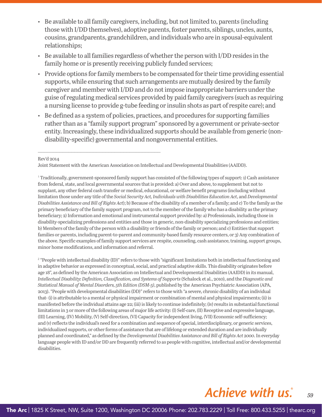- Be available to all family caregivers, including, but not limited to, parents (including those with I/DD themselves), adoptive parents, foster parents, siblings, uncles, aunts, cousins, grandparents, grandchildren, and individuals who are in spousal-equivalent relationships;
- Be available to all families regardless of whether the person with I/DD resides in the family home or is presently receiving publicly funded services;
- Provide options for family members to be compensated for their time providing essential supports, while ensuring that such arrangements are mutually desired by the family caregiver and member with I/DD and do not impose inappropriate barriers under the guise of regulating medical services provided by paid family caregivers (such as requiring a nursing license to provide g-tube feeding or insulin shots as part of respite care); and
- Be defined as a system of policies, practices, and procedures for supporting families rather than as a "family support program" sponsored by a government or private-sector entity. Increasingly, these individualized supports should be available from generic (nondisability-specific) governmental and nongovernmental entities.

Rev'd 2014

 $\overline{\phantom{a}}$  , and the set of the set of the set of the set of the set of the set of the set of the set of the set of the set of the set of the set of the set of the set of the set of the set of the set of the set of the s

2 "People with intellectual disability (ID)" refers to those with "significant limitations both in intellectual functioning and in adaptive behavior as expressed in conceptual, social, and practical adaptive skills. This disability originates before age 18", as defined by the American Association on Intellectual and Developmental Disabilities (AAIDD) in its manual, *Intellectual Disability: Definition, Classification, and Systems of Supports* (Schalock et al., 2010), and the *Diagnostic and Statistical Manual of Mental Disorders, 5th Edition (DSM-5)*, published by the American Psychiatric Association (APA, 2013). "People with developmental disabilities (DD)" refers to those with "a severe, chronic disability of an individual that- (i) is attributable to a mental or physical impairment or combination of mental and physical impairments; (ii) is manifested before the individual attains age 22; (iii) is likely to continue indefinitely; (iv) results in substantial functional limitations in 3 or more of the following areas of major life activity: (I) Self-care, (II) Receptive and expressive language, (III) Learning, (IV) Mobility, (V) Self-direction, (VI) Capacity for independent living, (VII) Economic self-sufficiency; and (v) reflects the individual's need for a combination and sequence of special, interdisciplinary, or generic services, individualized supports, or other forms of assistance that are of lifelong or extended duration and are individually planned and coordinated," as defined by the *Developmental Disabilities Assistance and Bill of Rights Act 2000*. In everyday language people with ID and/or DD are frequently referred to as people with cognitive, intellectual and/or developmental disabilities.



Joint Statement with the American Association on Intellectual and Developmental Disabilities (AAIDD).

<sup>1</sup> Traditionally, government-sponsored family support has consisted of the following types of support: 1) Cash assistance from federal, state, and local governmental sources that is provided: a) Over and above, to supplement but not to supplant, any other federal cash transfer or medical, educational, or welfare benefit programs (including without limitation those under any title of the *Social Security Act, Individuals with Disabilities Education Act*, and *Developmental Disabilities Assistance and Bill of Rights Act*); b) Because of the disability of a member of a family; and c) To the family as the primary beneficiary of the family support program, not to the member of the family who has a disability as the primary beneficiary; 2) Information and emotional and instrumental support provided by: a) Professionals, including those in disability-specializing professions and entities and those in generic, non-disability specializing professions and entities; b) Members of the family of the person with a disability or friends of the family or person; and c) Entities that support families or parents, including parent-to-parent and community-based family resource centers, or 3) Any combination of the above. Specific examples of family support services are respite, counseling, cash assistance, training, support groups, minor home modifications, and information and referral.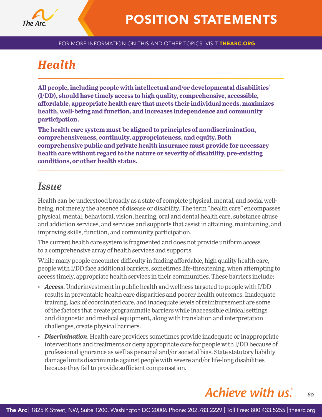

## *Health*

**All people, including people with intellectual and/or developmental disabilities**<sup>1</sup> **(I/DD), should have timely access to high quality, comprehensive, accessible, affordable, appropriate health care that meets their individual needs, maximizes health, well-being and function, and increases independence and community participation.**

**The health care system must be aligned to principles of nondiscrimination, comprehensiveness, continuity, appropriateness, and equity. Both comprehensive public and private health insurance must provide for necessary health care without regard to the nature or severity of disability, pre-existing conditions, or other health status.**

### *Issue*

Health can be understood broadly as a state of complete physical, mental, and social wellbeing, not merely the absence of disease or disability. The term "health care" encompasses physical, mental, behavioral, vision, hearing, oral and dental health care, substance abuse and addiction services, and services and supports that assist in attaining, maintaining, and improving skills, function, and community participation.

The current health care system is fragmented and does not provide uniform access to a comprehensive array of health services and supports.

While many people encounter difficulty in finding affordable, high quality health care, people with I/DD face additional barriers, sometimes life-threatening, when attempting to access timely, appropriate health services in their communities. These barriers include:

- *Access*. Underinvestment in public health and wellness targeted to people with I/DD results in preventable health care disparities and poorer health outcomes. Inadequate training, lack of coordinated care, and inadequate levels of reimbursement are some of the factors that create programmatic barriers while inaccessible clinical settings and diagnostic and medical equipment, along with translation and interpretation challenges, create physical barriers.
- *Discrimination*. Health care providers sometimes provide inadequate or inappropriate interventions and treatments or deny appropriate care for people with I/DD because of professional ignorance as well as personal and/or societal bias. State statutory liability damage limits discriminate against people with severe and/or life-long disabilities because they fail to provide sufficient compensation.

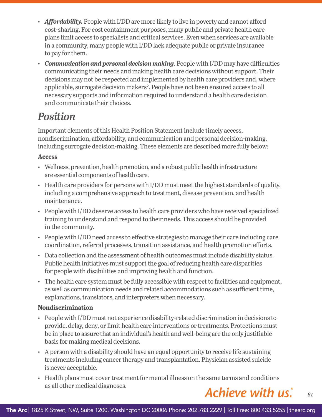- *Affordability.* People with I/DD are more likely to live in poverty and cannot afford cost-sharing. For cost containment purposes, many public and private health care plans limit access to specialists and critical services. Even when services are available in a community, many people with I/DD lack adequate public or private insurance to pay for them.
- *Communication and personal decision making*. People with I/DD may have difficulties communicating their needs and making health care decisions without support. Their decisions may not be respected and implemented by health care providers and, where applicable, surrogate decision makers<sup>2</sup>. People have not been ensured access to all necessary supports and information required to understand a health care decision and communicate their choices.

### *Position*

Important elements of this Health Position Statement include timely access, nondiscrimination, affordability, and communication and personal decision-making, including surrogate decision-making. These elements are described more fully below:

#### **Access**

- Wellness, prevention, health promotion, and a robust public health infrastructure are essential components of health care.
- Health care providers for persons with I/DD must meet the highest standards of quality, including a comprehensive approach to treatment, disease prevention, and health maintenance.
- People with I/DD deserve access to health care providers who have received specialized training to understand and respond to their needs. This access should be provided in the community.
- People with I/DD need access to effective strategies to manage their care including care coordination, referral processes, transition assistance, and health promotion efforts.
- Data collection and the assessment of health outcomes must include disability status. Public health initiatives must support the goal of reducing health care disparities for people with disabilities and improving health and function.
- The health care system must be fully accessible with respect to facilities and equipment, as well as communication needs and related accommodations such as sufficient time, explanations, translators, and interpreters when necessary.

#### **Nondiscrimination**

- People with I/DD must not experience disability-related discrimination in decisions to provide, delay, deny, or limit health care interventions or treatments. Protections must be in place to assure that an individual's health and well-being are the only justifiable basis for making medical decisions.
- A person with a disability should have an equal opportunity to receive life sustaining treatments including cancer therapy and transplantation. Physician assisted suicide is never acceptable.
- Health plans must cover treatment for mental illness on the same terms and conditions as all other medical diagnoses.

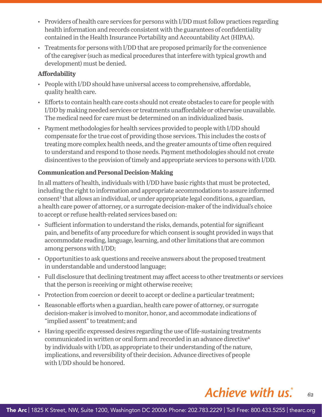- Providers of health care services for persons with I/DD must follow practices regarding health information and records consistent with the guarantees of confidentiality contained in the Health Insurance Portability and Accountability Act (HIPAA).
- Treatments for persons with I/DD that are proposed primarily for the convenience of the caregiver (such as medical procedures that interfere with typical growth and development) must be denied.

#### **Affordability**

- People with I/DD should have universal access to comprehensive, affordable, quality health care.
- Efforts to contain health care costs should not create obstacles to care for people with I/DD by making needed services or treatments unaffordable or otherwise unavailable. The medical need for care must be determined on an individualized basis.
- Payment methodologies for health services provided to people with I/DD should compensate for the true cost of providing those services. This includes the costs of treating more complex health needs, and the greater amounts of time often required to understand and respond to those needs. Payment methodologies should not create disincentives to the provision of timely and appropriate services to persons with I/DD.

#### **Communication and Personal Decision-Making**

In all matters of health, individuals with I/DD have basic rights that must be protected, including the right to information and appropriate accommodations to assure informed consent<sup>3</sup> that allows an individual, or under appropriate legal conditions, a guardian, a health care power of attorney, or a surrogate decision-maker of the individual's choice to accept or refuse health-related services based on:

- Sufficient information to understand the risks, demands, potential for significant pain, and benefits of any procedure for which consent is sought provided in ways that accommodate reading, language, learning, and other limitations that are common among persons with I/DD;
- Opportunities to ask questions and receive answers about the proposed treatment in understandable and understood language;
- Full disclosure that declining treatment may affect access to other treatments or services that the person is receiving or might otherwise receive;
- Protection from coercion or deceit to accept or decline a particular treatment;
- Reasonable efforts when a guardian, health care power of attorney, or surrogate decision-maker is involved to monitor, honor, and accommodate indications of "implied assent" to treatment; and
- Having specific expressed desires regarding the use of life-sustaining treatments communicated in written or oral form and recorded in an advance directive<sup>4</sup> by individuals with I/DD, as appropriate to their understanding of the nature, implications, and reversibility of their decision. Advance directives of people with I/DD should be honored.

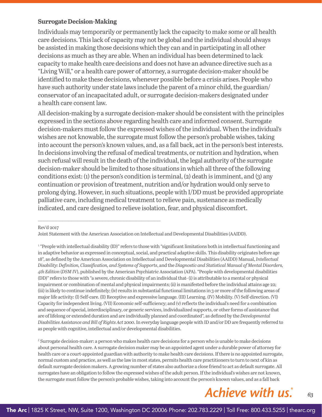#### **Surrogate Decision-Making**

Individuals may temporarily or permanently lack the capacity to make some or all health care decisions. This lack of capacity may not be global and the individual should always be assisted in making those decisions which they can and in participating in all other decisions as much as they are able. When an individual has been determined to lack capacity to make health care decisions and does not have an advance directive such as a "Living Will," or a health care power of attorney, a surrogate decision-maker should be identified to make these decisions, whenever possible before a crisis arises. People who have such authority under state laws include the parent of a minor child, the guardian/ conservator of an incapacitated adult, or surrogate decision-makers designated under a health care consent law.

All decision-making by a surrogate decision-maker should be consistent with the principles expressed in the sections above regarding health care and informed consent. Surrogate decision-makers must follow the expressed wishes of the individual. When the individual's wishes are not knowable, the surrogate must follow the person's probable wishes, taking into account the person's known values, and, as a fall back, act in the person's best interests. In decisions involving the refusal of medical treatments, or nutrition and hydration, when such refusal will result in the death of the individual, the legal authority of the surrogate decision-maker should be limited to those situations in which all three of the following conditions exist: (1) the person's condition is terminal, (2) death is imminent, and (3) any continuation or provision of treatment, nutrition and/or hydration would only serve to prolong dying. However, in such situations, people with I/DD must be provided appropriate palliative care, including medical treatment to relieve pain, sustenance as medically indicated, and care designed to relieve isolation, fear, and physical discomfort.

Rev'd 2017

 $\overline{\phantom{a}}$  , and the set of the set of the set of the set of the set of the set of the set of the set of the set of the set of the set of the set of the set of the set of the set of the set of the set of the set of the s

2 Surrogate decision-maker: a person who makes health care decisions for a person who is unable to make decisions about personal health care. A surrogate decision maker may be an appointed agent under a durable power of attorney for health care or a court-appointed guardian with authority to make health care decisions. If there is no appointed surrogate, normal custom and practice, as well as the law in most states, permits health care practitioners to turn to next of kin as default surrogate decision makers. A growing number of states also authorize a close friend to act as default surrogate. All surrogates have an obligation to follow the expressed wishes of the adult person. If the individual's wishes are not known, the surrogate must follow the person's probable wishes, taking into account the person's known values, and as a fall back



*63*

Joint Statement with the American Association on Intellectual and Developmental Disabilities (AAIDD).

<sup>1</sup>"People with intellectual disability (ID)" refers to those with "significant limitations both in intellectual functioning and in adaptive behavior as expressed in conceptual, social, and practical adaptive skills. This disability originates before age 18", as defined by the American Association on Intellectual and Developmental Disabilities (AAIDD) Manual, *Intellectual Disability: Definition, Classification, and Systems of Supports*, and the *Diagnostic and Statistical Manual of Mental Disorders, 4th Edition* (*DSM IV*), published by the American Psychiatric Association (APA). "People with developmental disabilities (DD)" refers to those with "a severe, chronic disability of an individual that- (i) is attributable to a mental or physical impairment or combination of mental and physical impairments; (ii) is manifested before the individual attains age 22; (iii) is likely to continue indefinitely; (iv) results in substantial functional limitations in 3 or more of the following areas of major life activity: (I) Self-care. (II) Receptive and expressive language. (III) Learning. (IV) Mobility. (V) Self-direction. (VI) Capacity for independent living. (VII) Economic self-sufficiency; and (v) reflects the individual's need for a combination and sequence of special, interdisciplinary, or generic services, individualized supports, or other forms of assistance that are of lifelong or extended duration and are individually planned and coordinated", as defined by the *Developmental Disabilities Assistance and Bill of Rights Act 2000*. In everyday language people with ID and/or DD are frequently referred to as people with cognitive, intellectual and/or developmental disabilities.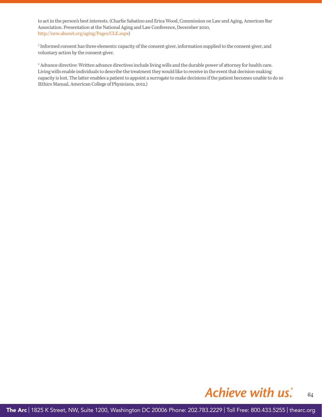to act in the person's best interests. (Charlie Sabatino and Erica Wood, Commission on Law and Aging, American Bar Association. Presentation at the National Aging and Law Conference, December 2010, http://new.abanet.org/aging/Pages/CLE.aspx)

3 Informed consent has three elements: capacity of the consent-giver, information supplied to the consent-giver, and voluntary action by the consent-giver.

4 Advance directive: Written advance directives include living wills and the durable power of attorney for health care. Living wills enable individuals to describe the treatment they would like to receive in the event that decision-making capacity is lost. The latter enables a patient to appoint a surrogate to make decisions if the patient becomes unable to do so (Ethics Manual, American College of Physicians, 2012.)

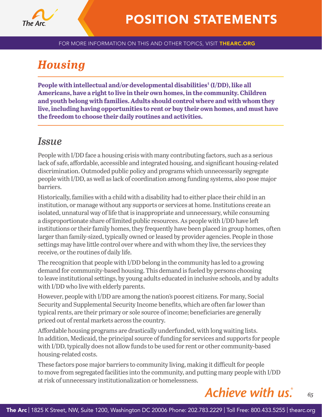

### *Housing*

**People with intellectual and/or developmental disabilities**1 **(I/DD), like all Americans, have a right to live in their own homes, in the community. Children and youth belong with families. Adults should control where and with whom they live, including having opportunities to rent or buy their own homes, and must have the freedom to choose their daily routines and activities.**

### *Issue*

People with I/DD face a housing crisis with many contributing factors, such as a serious lack of safe, affordable, accessible and integrated housing, and significant housing-related discrimination. Outmoded public policy and programs which unnecessarily segregate people with I/DD, as well as lack of coordination among funding systems, also pose major barriers.

Historically, families with a child with a disability had to either place their child in an institution, or manage without any supports or services at home. Institutions create an isolated, unnatural way of life that is inappropriate and unnecessary, while consuming a disproportionate share of limited public resources. As people with I/DD have left institutions or their family homes, they frequently have been placed in group homes, often larger than family-sized, typically owned or leased by provider agencies. People in those settings may have little control over where and with whom they live, the services they receive, or the routines of daily life.

The recognition that people with I/DD belong in the community has led to a growing demand for community-based housing. This demand is fueled by persons choosing to leave institutional settings, by young adults educated in inclusive schools, and by adults with I/DD who live with elderly parents.

However, people with I/DD are among the nation's poorest citizens. For many, Social Security and Supplemental Security Income benefits, which are often far lower than typical rents, are their primary or sole source of income; beneficiaries are generally priced out of rental markets across the country.

Affordable housing programs are drastically underfunded, with long waiting lists. In addition, Medicaid, the principal source of funding for services and supports for people with I/DD, typically does not allow funds to be used for rent or other community-based housing-related costs.

These factors pose major barriers to community living, making it difficult for people to move from segregated facilities into the community, and putting many people with I/DD at risk of unnecessary institutionalization or homelessness.



*65*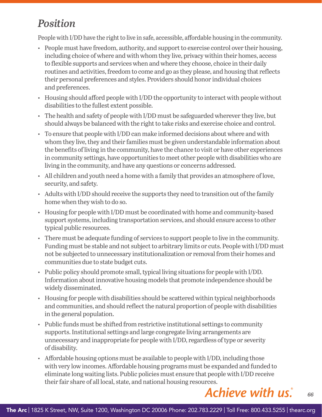### *Position*

People with I/DD have the right to live in safe, accessible, affordable housing in the community.

- People must have freedom, authority, and support to exercise control over their housing, including choice of where and with whom they live, privacy within their homes, access to flexible supports and services when and where they choose, choice in their daily routines and activities, freedom to come and go as they please, and housing that reflects their personal preferences and styles. Providers should honor individual choices and preferences.
- Housing should afford people with I/DD the opportunity to interact with people without disabilities to the fullest extent possible.
- The health and safety of people with I/DD must be safeguarded wherever they live, but should always be balanced with the right to take risks and exercise choice and control.
- To ensure that people with I/DD can make informed decisions about where and with whom they live, they and their families must be given understandable information about the benefits of living in the community, have the chance to visit or have other experiences in community settings, have opportunities to meet other people with disabilities who are living in the community, and have any questions or concerns addressed.
- All children and youth need a home with a family that provides an atmosphere of love, security, and safety.
- Adults with I/DD should receive the supports they need to transition out of the family home when they wish to do so.
- Housing for people with I/DD must be coordinated with home and community-based support systems, including transportation services, and should ensure access to other typical public resources.
- There must be adequate funding of services to support people to live in the community. Funding must be stable and not subject to arbitrary limits or cuts. People with I/DD must not be subjected to unnecessary institutionalization or removal from their homes and communities due to state budget cuts.
- Public policy should promote small, typical living situations for people with I/DD. Information about innovative housing models that promote independence should be widely disseminated.
- Housing for people with disabilities should be scattered within typical neighborhoods and communities, and should reflect the natural proportion of people with disabilities in the general population.
- Public funds must be shifted from restrictive institutional settings to community supports. Institutional settings and large congregate living arrangements are unnecessary and inappropriate for people with I/DD, regardless of type or severity of disability.
- Affordable housing options must be available to people with I/DD, including those with very low incomes. Affordable housing programs must be expanded and funded to eliminate long waiting lists. Public policies must ensure that people with I/DD receive their fair share of all local, state, and national housing resources.



*66*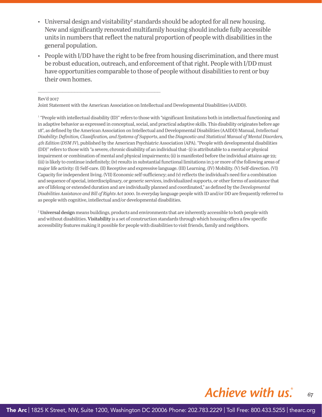- $\cdot$  Universal design and visitability<sup>2</sup> standards should be adopted for all new housing. New and significantly renovated multifamily housing should include fully accessible units in numbers that reflect the natural proportion of people with disabilities in the general population.
- People with I/DD have the right to be free from housing discrimination, and there must be robust education, outreach, and enforcement of that right. People with I/DD must have opportunities comparable to those of people without disabilities to rent or buy their own homes.

Rev'd 2017

Joint Statement with the American Association on Intellectual and Developmental Disabilities (AAIDD).

 $\overline{\phantom{a}}$  , and the set of the set of the set of the set of the set of the set of the set of the set of the set of the set of the set of the set of the set of the set of the set of the set of the set of the set of the s

1 "People with intellectual disability (ID)" refers to those with "significant limitations both in intellectual functioning and in adaptive behavior as expressed in conceptual, social, and practical adaptive skills. This disability originates before age 18", as defined by the American Association on Intellectual and Developmental Disabilities (AAIDD) Manual, *Intellectual Disability: Definition, Classification, and Systems of Supports*, and the *Diagnostic and Statistical Manual of Mental Disorders, 4th Edition* (*DSM IV*), published by the American Psychiatric Association (APA). "People with developmental disabilities (DD)" refers to those with "a severe, chronic disability of an individual that- (i) is attributable to a mental or physical impairment or combination of mental and physical impairments; (ii) is manifested before the individual attains age 22; (iii) is likely to continue indefinitely; (iv) results in substantial functional limitations in 3 or more of the following areas of major life activity: (I) Self-care. (II) Receptive and expressive language. (III) Learning. (IV) Mobility. (V) Self-direction. (VI) Capacity for independent living. (VII) Economic self-sufficiency; and (v) reflects the individual's need for a combination and sequence of special, interdisciplinary, or generic services, individualized supports, or other forms of assistance that are of lifelong or extended duration and are individually planned and coordinated," as defined by the *Developmental Disabilities Assistance and Bill of Rights Act 2000*. In everyday language people with ID and/or DD are frequently referred to as people with cognitive, intellectual and/or developmental disabilities.

<sup>2</sup> **Universal design** means buildings, products and environments that are inherently accessible to both people with and without disabilities. **Visitability** is a set of construction standards through which housing offers a few specific accessibility features making it possible for people with disabilities to visit friends, family and neighbors.

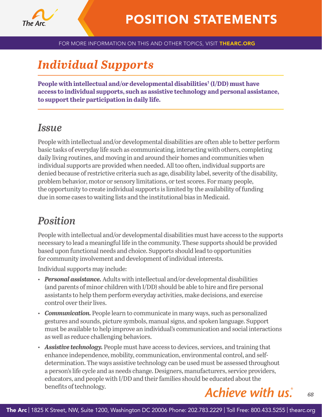

# *Individual Supports*

People with intellectual and/or developmental disabilities<sup>1</sup> (I/DD) must have **access to individual supports, such as assistive technology and personal assistance, to support their participation in daily life.**

### *Issue*

People with intellectual and/or developmental disabilities are often able to better perform basic tasks of everyday life such as communicating, interacting with others, completing daily living routines, and moving in and around their homes and communities when individual supports are provided when needed. All too often, individual supports are denied because of restrictive criteria such as age, disability label, severity of the disability, problem behavior, motor or sensory limitations, or test scores. For many people, the opportunity to create individual supports is limited by the availability of funding due in some cases to waiting lists and the institutional bias in Medicaid.

### *Position*

People with intellectual and/or developmental disabilities must have access to the supports necessary to lead a meaningful life in the community. These supports should be provided based upon functional needs and choice. Supports should lead to opportunities for community involvement and development of individual interests.

Individual supports may include:

- *Personal assistance.* Adults with intellectual and/or developmental disabilities (and parents of minor children with I/DD) should be able to hire and fire personal assistants to help them perform everyday activities, make decisions, and exercise control over their lives.
- *Communication.* People learn to communicate in many ways, such as personalized gestures and sounds, picture symbols, manual signs, and spoken language. Support must be available to help improve an individual's communication and social interactions as well as reduce challenging behaviors.
- *Assistive technology.* People must have access to devices, services, and training that enhance independence, mobility, communication, environmental control, and selfdetermination. The ways assistive technology can be used must be assessed throughout a person's life cycle and as needs change. Designers, manufacturers, service providers, educators, and people with I/DD and their families should be educated about the benefits of technology.



*68*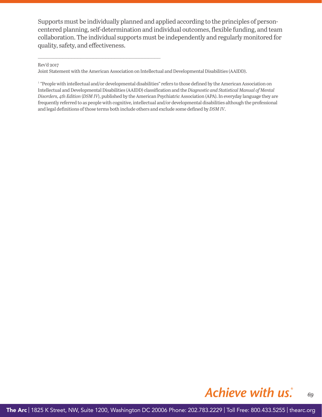Supports must be individually planned and applied according to the principles of personcentered planning, self-determination and individual outcomes, flexible funding, and team collaboration. The individual supports must be independently and regularly monitored for quality, safety, and effectiveness.

#### Rev'd 2017

 $\overline{\phantom{a}}$  , and the set of the set of the set of the set of the set of the set of the set of the set of the set of the set of the set of the set of the set of the set of the set of the set of the set of the set of the s

1 "People with intellectual and/or developmental disabilities" refers to those defined by the American Association on Intellectual and Developmental Disabilities (AAIDD) classification and the *Diagnostic and Statistical Manual of Mental Disorders, 4th Edition* (*DSM IV*), published by the American Psychiatric Association (APA). In everyday language they are frequently referred to as people with cognitive, intellectual and/or developmental disabilities although the professional and legal definitions of those terms both include others and exclude some defined by *DSM IV*.



Joint Statement with the American Association on Intellectual and Developmental Disabilities (AAIDD).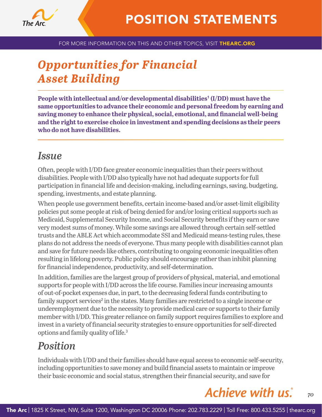

# *Opportunities for Financial Asset Building*

**People with intellectual and/or developmental disabilities**1 **(I/DD) must have the same opportunities to advance their economic and personal freedom by earning and saving money to enhance their physical, social, emotional, and financial well-being and the right to exercise choice in investment and spending decisions as their peers who do not have disabilities.**

### *Issue*

Often, people with I/DD face greater economic inequalities than their peers without disabilities. People with I/DD also typically have not had adequate supports for full participation in financial life and decision-making, including earnings, saving, budgeting, spending, investments, and estate planning.

When people use government benefits, certain income-based and/or asset-limit eligibility policies put some people at risk of being denied for and/or losing critical supports such as Medicaid, Supplemental Security Income, and Social Security benefits if they earn or save very modest sums of money. While some savings are allowed through certain self-settled trusts and the ABLE Act which accommodate SSI and Medicaid means-testing rules, these plans do not address the needs of everyone. Thus many people with disabilities cannot plan and save for future needs like others, contributing to ongoing economic inequalities often resulting in lifelong poverty. Public policy should encourage rather than inhibit planning for financial independence, productivity, and self-determination.

In addition, families are the largest group of providers of physical, material, and emotional supports for people with I/DD across the life course. Families incur increasing amounts of out-of-pocket expenses due, in part, to the decreasing federal funds contributing to family support services<sup>2</sup> in the states. Many families are restricted to a single income or underemployment due to the necessity to provide medical care or supports to their family member with I/DD. This greater reliance on family support requires families to explore and invest in a variety of financial security strategies to ensure opportunities for self-directed options and family quality of life.<sup>3</sup>

### *Position*

Individuals with I/DD and their families should have equal access to economic self-security, including opportunities to save money and build financial assets to maintain or improve their basic economic and social status, strengthen their financial security, and save for



*70*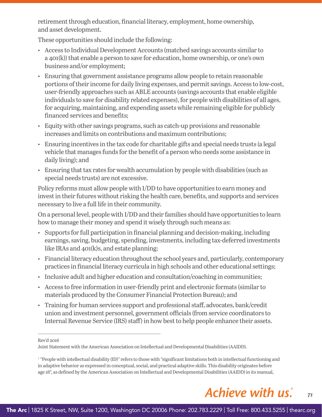retirement through education, financial literacy, employment, home ownership, and asset development.

These opportunities should include the following:

- Access to Individual Development Accounts (matched savings accounts similar to a 401(k)) that enable a person to save for education, home ownership, or one's own business and/or employment;
- Ensuring that government assistance programs allow people to retain reasonable portions of their income for daily living expenses, and permit savings. Access to low-cost, user-friendly approaches such as ABLE accounts (savings accounts that enable eligible individuals to save for disability related expenses), for people with disabilities of all ages, for acquiring, maintaining, and expending assets while remaining eligible for publicly financed services and benefits;
- Equity with other savings programs, such as catch-up provisions and reasonable increases and limits on contributions and maximum contributions;
- Ensuring incentives in the tax code for charitable gifts and special needs trusts (a legal vehicle that manages funds for the benefit of a person who needs some assistance in daily living); and
- Ensuring that tax rates for wealth accumulation by people with disabilities (such as special needs trusts) are not excessive.

Policy reforms must allow people with I/DD to have opportunities to earn money and invest in their futures without risking the health care, benefits, and supports and services necessary to live a full life in their community.

On a personal level, people with I/DD and their families should have opportunities to learn how to manage their money and spend it wisely through such means as:

- Supports for full participation in financial planning and decision-making, including earnings, saving, budgeting, spending, investments, including tax-deferred investments like IRAs and 401(k)s, and estate planning;
- Financial literacy education throughout the school years and, particularly, contemporary practices in financial literacy curricula in high schools and other educational settings;
- Inclusive adult and higher education and consultation/coaching in communities;
- Access to free information in user-friendly print and electronic formats (similar to materials produced by the Consumer Financial Protection Bureau); and
- Training for human services support and professional staff, advocates, bank/credit union and investment personnel, government officials (from service coordinators to Internal Revenue Service (IRS) staff) in how best to help people enhance their assets.

Rev'd 2016

Joint Statement with the American Association on Intellectual and Developmental Disabilities (AAIDD).

 $\overline{\phantom{a}}$  , and the set of the set of the set of the set of the set of the set of the set of the set of the set of the set of the set of the set of the set of the set of the set of the set of the set of the set of the s

<sup>1</sup> "People with intellectual disability (ID)" refers to those with "significant limitations both in intellectual functioning and in adaptive behavior as expressed in conceptual, social, and practical adaptive skills. This disability originates before age 18", as defined by the American Association on Intellectual and Developmental Disabilities (AAIDD) in its manual,

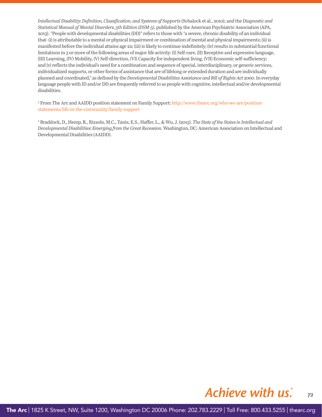*Intellectual Disability: Definition, Classification, and Systems of Supports* (Schalock et al., 2010), and the *Diagnostic and Statistical Manual of Mental Disorders, 5th Edition (DSM-5)*, published by the American Psychiatric Association (APA, 2013). "People with developmental disabilities (DD)" refers to those with "a severe, chronic disability of an individual that- (i) is attributable to a mental or physical impairment or combination of mental and physical impairments; (ii) is manifested before the individual attains age 22; (iii) is likely to continue indefinitely; (iv) results in substantial functional limitations in 3 or more of the following areas of major life activity: (I) Self-care, (II) Receptive and expressive language, (III) Learning, (IV) Mobility, (V) Self-direction, (VI) Capacity for independent living, (VII) Economic self-sufficiency; and (v) reflects the individual's need for a combination and sequence of special, interdisciplinary, or generic services, individualized supports, or other forms of assistance that are of lifelong or extended duration and are individually planned and coordinated," as defined by the *Developmental Disabilities Assistance and Bill of Rights Act 2000*. In everyday language people with ID and/or DD are frequently referred to as people with cognitive, intellectual and/or developmental disabilities.

2 From The Arc and AAIDD position statement on Family Support: http://www.thearc.org/who-we-are/positionstatements/life-in-the-community/family-support

3 Braddock, D., Hemp, R., Rizzolo, M.C., Tanis, E.S., Haffer, L., & Wu, J. (2015). *The State of the States in Intellectual and Developmental Disabilities: Emerging from the Great Recession.* Washington, DC: American Association on Intellectual and Developmental Disabilities (AAIDD).

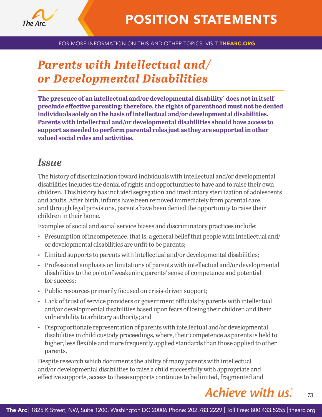

# *Parents with Intellectual and/ or Developmental Disabilities*

**The presence of an intellectual and/or developmental disability**1 **does not in itself preclude effective parenting; therefore, the rights of parenthood must not be denied individuals solely on the basis of intellectual and/or developmental disabilities. Parents with intellectual and/or developmental disabilities should have access to support as needed to perform parental roles just as they are supported in other valued social roles and activities.**

### *Issue*

The history of discrimination toward individuals with intellectual and/or developmental disabilities includes the denial of rights and opportunities to have and to raise their own children. This history has included segregation and involuntary sterilization of adolescents and adults. After birth, infants have been removed immediately from parental care, and through legal provisions, parents have been denied the opportunity to raise their children in their home.

Examples of social and social service biases and discriminatory practices include:

- Presumption of incompetence, that is, a general belief that people with intellectual and/ or developmental disabilities are unfit to be parents;
- Limited supports to parents with intellectual and/or developmental disabilities;
- Professional emphasis on limitations of parents with intellectual and/or developmental disabilities to the point of weakening parents' sense of competence and potential for success;
- Public resources primarily focused on crisis-driven support;
- Lack of trust of service providers or government officials by parents with intellectual and/or developmental disabilities based upon fears of losing their children and their vulnerability to arbitrary authority; and
- Disproportionate representation of parents with intellectual and/or developmental disabilities in child custody proceedings, where, their competence as parents is held to higher, less flexible and more frequently applied standards than those applied to other parents.

Despite research which documents the ability of many parents with intellectual and/or developmental disabilities to raise a child successfully with appropriate and effective supports, access to these supports continues to be limited, fragmented and

# **Achieve with us.**

*73*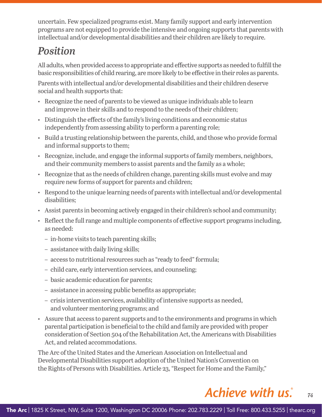uncertain. Few specialized programs exist. Many family support and early intervention programs are not equipped to provide the intensive and ongoing supports that parents with intellectual and/or developmental disabilities and their children are likely to require.

## *Position*

All adults, when provided access to appropriate and effective supports as needed to fulfill the basic responsibilities of child rearing, are more likely to be effective in their roles as parents.

Parents with intellectual and/or developmental disabilities and their children deserve social and health supports that:

- Recognize the need of parents to be viewed as unique individuals able to learn and improve in their skills and to respond to the needs of their children;
- Distinguish the effects of the family's living conditions and economic status independently from assessing ability to perform a parenting role;
- Build a trusting relationship between the parents, child, and those who provide formal and informal supports to them;
- Recognize, include, and engage the informal supports of family members, neighbors, and their community members to assist parents and the family as a whole;
- Recognize that as the needs of children change, parenting skills must evolve and may require new forms of support for parents and children;
- Respond to the unique learning needs of parents with intellectual and/or developmental disabilities;
- Assist parents in becoming actively engaged in their children's school and community;
- Reflect the full range and multiple components of effective support programs including, as needed:
	- in-home visits to teach parenting skills;
	- assistance with daily living skills;
	- access to nutritional resources such as "ready to feed" formula;
	- child care, early intervention services, and counseling;
	- basic academic education for parents;
	- assistance in accessing public benefits as appropriate;
	- crisis intervention services, availability of intensive supports as needed, and volunteer mentoring programs; and
- Assure that access to parent supports and to the environments and programs in which parental participation is beneficial to the child and family are provided with proper consideration of Section 504 of the Rehabilitation Act, the Americans with Disabilities Act, and related accommodations.

The Arc of the United States and the American Association on Intellectual and Developmental Disabilities support adoption of the United Nation's Convention on the Rights of Persons with Disabilities. Article 23, "Respect for Home and the Family,"

#### **Achieve with us.** *74*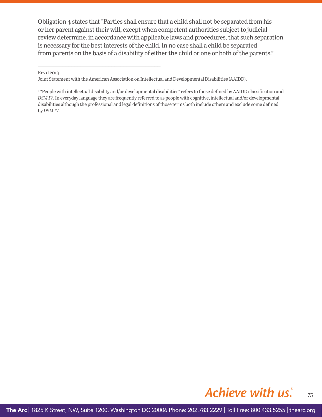Obligation 4 states that "Parties shall ensure that a child shall not be separated from his or her parent against their will, except when competent authorities subject to judicial review determine, in accordance with applicable laws and procedures, that such separation is necessary for the best interests of the child. In no case shall a child be separated from parents on the basis of a disability of either the child or one or both of the parents."

#### Rev'd 2013

 $\overline{\phantom{a}}$  , and the set of the set of the set of the set of the set of the set of the set of the set of the set of the set of the set of the set of the set of the set of the set of the set of the set of the set of the s

1 "People with intellectual disability and/or developmental disabilities" refers to those defined by AAIDD classification and *DSM IV*. In everyday language they are frequently referred to as people with cognitive, intellectual and/or developmental disabilities although the professional and legal definitions of those terms both include others and exclude some defined by *DSM IV*.



Joint Statement with the American Association on Intellectual and Developmental Disabilities (AAIDD).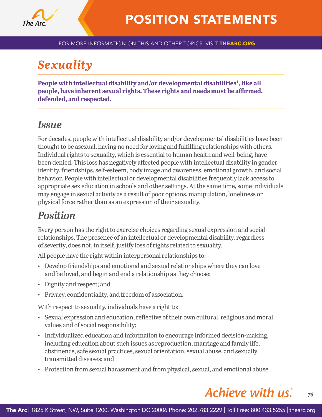

## *Sexuality*

**People with intellectual disability and/or developmental disabilities**1**, like all people, have inherent sexual rights. These rights and needs must be affirmed, defended, and respected.**

### *Issue*

For decades, people with intellectual disability and/or developmental disabilities have been thought to be asexual, having no need for loving and fulfilling relationships with others. Individual rights to sexuality, which is essential to human health and well-being, have been denied. This loss has negatively affected people with intellectual disability in gender identity, friendships, self-esteem, body image and awareness, emotional growth, and social behavior. People with intellectual or developmental disabilities frequently lack access to appropriate sex education in schools and other settings. At the same time, some individuals may engage in sexual activity as a result of poor options, manipulation, loneliness or physical force rather than as an expression of their sexuality.

### *Position*

Every person has the right to exercise choices regarding sexual expression and social relationships. The presence of an intellectual or developmental disability, regardless of severity, does not, in itself, justify loss of rights related to sexuality.

All people have the right within interpersonal relationships to:

- Develop friendships and emotional and sexual relationships where they can love and be loved, and begin and end a relationship as they choose;
- Dignity and respect; and
- Privacy, confidentiality, and freedom of association.

With respect to sexuality, individuals have a right to:

- Sexual expression and education, reflective of their own cultural, religious and moral values and of social responsibility;
- Individualized education and information to encourage informed decision-making, including education about such issues as reproduction, marriage and family life, abstinence, safe sexual practices, sexual orientation, sexual abuse, and sexually transmitted diseases; and
- Protection from sexual harassment and from physical, sexual, and emotional abuse.

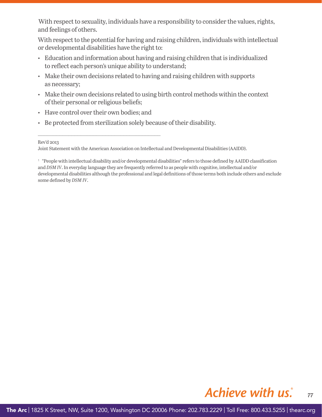With respect to sexuality, individuals have a responsibility to consider the values, rights, and feelings of others.

With respect to the potential for having and raising children, individuals with intellectual or developmental disabilities have the right to:

- Education and information about having and raising children that is individualized to reflect each person's unique ability to understand;
- Make their own decisions related to having and raising children with supports as necessary;
- Make their own decisions related to using birth control methods within the context of their personal or religious beliefs;
- Have control over their own bodies; and

 $\overline{\phantom{a}}$  , and the set of the set of the set of the set of the set of the set of the set of the set of the set of the set of the set of the set of the set of the set of the set of the set of the set of the set of the s

• Be protected from sterilization solely because of their disability.

Rev'd 2013



Joint Statement with the American Association on Intellectual and Developmental Disabilities (AAIDD).

<sup>1</sup> "People with intellectual disability and/or developmental disabilities" refers to those defined by AAIDD classification and *DSM IV*. In everyday language they are frequently referred to as people with cognitive, intellectual and/or developmental disabilities although the professional and legal definitions of those terms both include others and exclude some defined by *DSM IV*.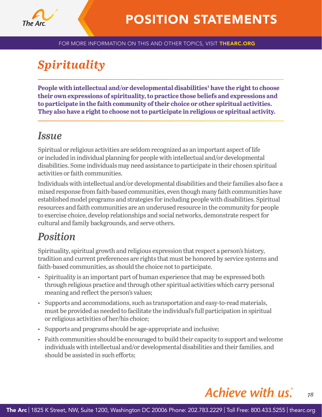

# *Spirituality*

**People with intellectual and/or developmental disabilities**1 **have the right to choose their own expressions of spirituality, to practice those beliefs and expressions and to participate in the faith community of their choice or other spiritual activities. They also have a right to choose not to participate in religious or spiritual activity.**

### *Issue*

Spiritual or religious activities are seldom recognized as an important aspect of life or included in individual planning for people with intellectual and/or developmental disabilities. Some individuals may need assistance to participate in their chosen spiritual activities or faith communities.

Individuals with intellectual and/or developmental disabilities and their families also face a mixed response from faith-based communities, even though many faith communities have established model programs and strategies for including people with disabilities. Spiritual resources and faith communities are an underused resource in the community for people to exercise choice, develop relationships and social networks, demonstrate respect for cultural and family backgrounds, and serve others.

## *Position*

Spirituality, spiritual growth and religious expression that respect a person's history, tradition and current preferences are rights that must be honored by service systems and faith-based communities, as should the choice not to participate.

- Spirituality is an important part of human experience that may be expressed both through religious practice and through other spiritual activities which carry personal meaning and reflect the person's values;
- Supports and accommodations, such as transportation and easy-to-read materials, must be provided as needed to facilitate the individual's full participation in spiritual or religious activities of her/his choice;
- Supports and programs should be age-appropriate and inclusive;
- Faith communities should be encouraged to build their capacity to support and welcome individuals with intellectual and/or developmental disabilities and their families, and should be assisted in such efforts;

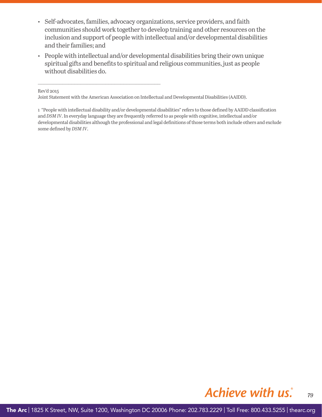- Self-advocates, families, advocacy organizations, service providers, and faith communities should work together to develop training and other resources on the inclusion and support of people with intellectual and/or developmental disabilities and their families; and
- People with intellectual and/or developmental disabilities bring their own unique spiritual gifts and benefits to spiritual and religious communities, just as people without disabilities do.

Rev'd 2015

Joint Statement with the American Association on Intellectual and Developmental Disabilities (AAIDD).

 $\overline{\phantom{a}}$  , and the set of the set of the set of the set of the set of the set of the set of the set of the set of the set of the set of the set of the set of the set of the set of the set of the set of the set of the s

1 "People with intellectual disability and/or developmental disabilities" refers to those defined by AAIDD classification and *DSM IV*. In everyday language they are frequently referred to as people with cognitive, intellectual and/or developmental disabilities although the professional and legal definitions of those terms both include others and exclude some defined by *DSM IV*.

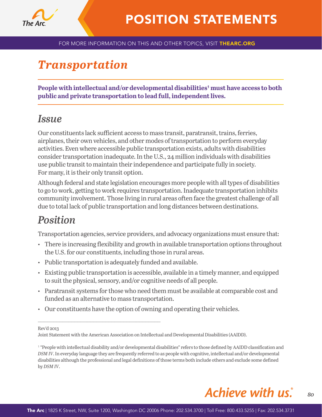

## *Transportation*

**People with intellectual and/or developmental disabilities**1 **must have access to both public and private transportation to lead full, independent lives.**

### *Issue*

Our constituents lack sufficient access to mass transit, paratransit, trains, ferries, airplanes, their own vehicles, and other modes of transportation to perform everyday activities. Even where accessible public transportation exists, adults with disabilities consider transportation inadequate. In the U.S., 24 million individuals with disabilities use public transit to maintain their independence and participate fully in society. For many, it is their only transit option.

Although federal and state legislation encourages more people with all types of disabilities to go to work, getting to work requires transportation. Inadequate transportation inhibits community involvement. Those living in rural areas often face the greatest challenge of all due to total lack of public transportation and long distances between destinations.

### *Position*

Transportation agencies, service providers, and advocacy organizations must ensure that:

- There is increasing flexibility and growth in available transportation options throughout the U.S. for our constituents, including those in rural areas.
- Public transportation is adequately funded and available.

 $\overline{\phantom{a}}$  , and the set of the set of the set of the set of the set of the set of the set of the set of the set of the set of the set of the set of the set of the set of the set of the set of the set of the set of the s

- Existing public transportation is accessible, available in a timely manner, and equipped to suit the physical, sensory, and/or cognitive needs of all people.
- Paratransit systems for those who need them must be available at comparable cost and funded as an alternative to mass transportation.
- Our constituents have the option of owning and operating their vehicles.

Rev'd 2013

<sup>1</sup> "People with intellectual disability and/or developmental disabilities" refers to those defined by AAIDD classification and *DSM IV*. In everyday language they are frequently referred to as people with cognitive, intellectual and/or developmental disabilities although the professional and legal definitions of those terms both include others and exclude some defined by *DSM IV*.



*80*

Joint Statement with the American Association on Intellectual and Developmental Disabilities (AAIDD).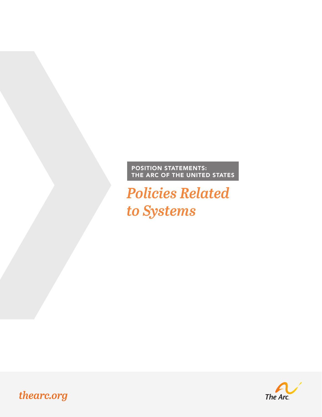#### POSITION STATEMENTS: THE ARC OF THE UNITED STATES

# *Policies Related to Systems*



*thearc.org*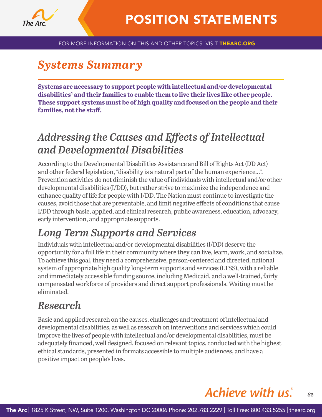

## *Systems Summary*

**Systems are necessary to support people with intellectual and/or developmental disabilities**1 **and their families to enable them to live their lives like other people. These support systems must be of high quality and focused on the people and their families, not the staff.**

## *Addressing the Causes and Effects of Intellectual and Developmental Disabilities*

According to the Developmental Disabilities Assistance and Bill of Rights Act (DD Act) and other federal legislation, "disability is a natural part of the human experience...". Prevention activities do not diminish the value of individuals with intellectual and/or other developmental disabilities (I/DD), but rather strive to maximize the independence and enhance quality of life for people with I/DD. The Nation must continue to investigate the causes, avoid those that are preventable, and limit negative effects of conditions that cause I/DD through basic, applied, and clinical research, public awareness, education, advocacy, early intervention, and appropriate supports.

## *Long Term Supports and Services*

Individuals with intellectual and/or developmental disabilities (I/DD) deserve the opportunity for a full life in their community where they can live, learn, work, and socialize. To achieve this goal, they need a comprehensive, person-centered and directed, national system of appropriate high quality long-term supports and services (LTSS), with a reliable and immediately accessible funding source, including Medicaid, and a well-trained, fairly compensated workforce of providers and direct support professionals. Waiting must be eliminated.

### *Research*

Basic and applied research on the causes, challenges and treatment of intellectual and developmental disabilities, as well as research on interventions and services which could improve the lives of people with intellectual and/or developmental disabilities, must be adequately financed, well designed, focused on relevant topics, conducted with the highest ethical standards, presented in formats accessible to multiple audiences, and have a positive impact on people's lives.

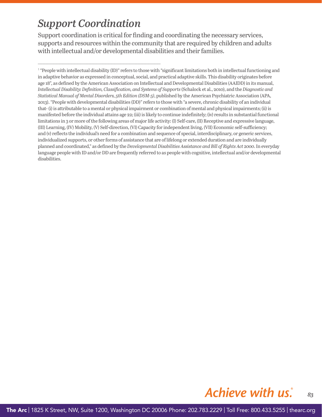## *Support Coordination*

 $\overline{\phantom{a}}$  , and the set of the set of the set of the set of the set of the set of the set of the set of the set of the set of the set of the set of the set of the set of the set of the set of the set of the set of the s

Support coordination is critical for finding and coordinating the necessary services, supports and resources within the community that are required by children and adults with intellectual and/or developmental disabilities and their families.

<sup>1</sup>"People with intellectual disability (ID)" refers to those with "significant limitations both in intellectual functioning and in adaptive behavior as expressed in conceptual, social, and practical adaptive skills. This disability originates before age 18", as defined by the American Association on Intellectual and Developmental Disabilities (AAIDD) in its manual, *Intellectual Disability: Definition, Classification, and Systems of Supports* (Schalock et al., 2010), and the *Diagnostic and Statistical Manual of Mental Disorders, 5th Edition (DSM-5)*, published by the American Psychiatric Association (APA, 2013). "People with developmental disabilities (DD)" refers to those with "a severe, chronic disability of an individual that- (i) is attributable to a mental or physical impairment or combination of mental and physical impairments; (ii) is manifested before the individual attains age 22; (iii) is likely to continue indefinitely; (iv) results in substantial functional limitations in 3 or more of the following areas of major life activity: (I) Self-care, (II) Receptive and expressive language, (III) Learning, (IV) Mobility, (V) Self-direction, (VI) Capacity for independent living, (VII) Economic self-sufficiency; and (v) reflects the individual's need for a combination and sequence of special, interdisciplinary, or generic services, individualized supports, or other forms of assistance that are of lifelong or extended duration and are individually planned and coordinated," as defined by the *Developmental Disabilities Assistance and Bill of Rights Act 2000*. In everyday language people with ID and/or DD are frequently referred to as people with cognitive, intellectual and/or developmental disabilities.

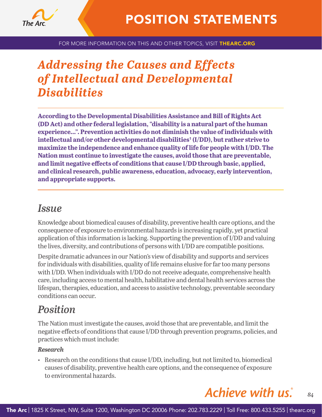

## *Addressing the Causes and Effects of Intellectual and Developmental Disabilities*

**According to the Developmental Disabilities Assistance and Bill of Rights Act (DD Act) and other federal legislation, "disability is a natural part of the human experience...". Prevention activities do not diminish the value of individuals with intellectual and/or other developmental disabilities**1 **(I/DD), but rather strive to maximize the independence and enhance quality of life for people with I/DD. The Nation must continue to investigate the causes, avoid those that are preventable, and limit negative effects of conditions that cause I/DD through basic, applied, and clinical research, public awareness, education, advocacy, early intervention, and appropriate supports.**

### *Issue*

Knowledge about biomedical causes of disability, preventive health care options, and the consequence of exposure to environmental hazards is increasing rapidly, yet practical application of this information is lacking. Supporting the prevention of I/DD and valuing the lives, diversity, and contributions of persons with I/DD are compatible positions.

Despite dramatic advances in our Nation's view of disability and supports and services for individuals with disabilities, quality of life remains elusive for far too many persons with I/DD. When individuals with I/DD do not receive adequate, comprehensive health care, including access to mental health, habilitative and dental health services across the lifespan, therapies, education, and access to assistive technology, preventable secondary conditions can occur.

### *Position*

The Nation must investigate the causes, avoid those that are preventable, and limit the negative effects of conditions that cause I/DD through prevention programs, policies, and practices which must include:

#### *Research*

• Research on the conditions that cause I/DD, including, but not limited to, biomedical causes of disability, preventive health care options, and the consequence of exposure to environmental hazards.

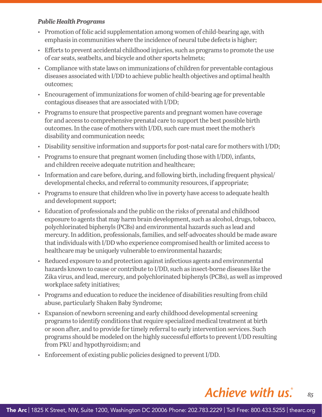#### *Public Health Programs*

- Promotion of folic acid supplementation among women of child-bearing age, with emphasis in communities where the incidence of neural tube defects is higher;
- Efforts to prevent accidental childhood injuries, such as programs to promote the use of car seats, seatbelts, and bicycle and other sports helmets;
- Compliance with state laws on immunizations of children for preventable contagious diseases associated with I/DD to achieve public health objectives and optimal health outcomes;
- Encouragement of immunizations for women of child-bearing age for preventable contagious diseases that are associated with I/DD;
- Programs to ensure that prospective parents and pregnant women have coverage for and access to comprehensive prenatal care to support the best possible birth outcomes. In the case of mothers with I/DD, such care must meet the mother's disability and communication needs;
- Disability sensitive information and supports for post-natal care for mothers with I/DD;
- Programs to ensure that pregnant women (including those with I/DD), infants, and children receive adequate nutrition and healthcare;
- Information and care before, during, and following birth, including frequent physical/ developmental checks, and referral to community resources, if appropriate;
- Programs to ensure that children who live in poverty have access to adequate health and development support;
- Education of professionals and the public on the risks of prenatal and childhood exposure to agents that may harm brain development, such as alcohol, drugs, tobacco, polychlorinated biphenyls (PCBs) and environmental hazards such as lead and mercury. In addition, professionals, families, and self-advocates should be made aware that individuals with I/DD who experience compromised health or limited access to healthcare may be uniquely vulnerable to environmental hazards;
- Reduced exposure to and protection against infectious agents and environmental hazards known to cause or contribute to I/DD, such as insect-borne diseases like the Zika virus, and lead, mercury, and polychlorinated biphenyls (PCBs), as well as improved workplace safety initiatives;
- Programs and education to reduce the incidence of disabilities resulting from child abuse, particularly Shaken Baby Syndrome;
- Expansion of newborn screening and early childhood developmental screening programs to identify conditions that require specialized medical treatment at birth or soon after, and to provide for timely referral to early intervention services. Such programs should be modeled on the highly successful efforts to prevent I/DD resulting from PKU and hypothyroidism; and
- Enforcement of existing public policies designed to prevent I/DD.

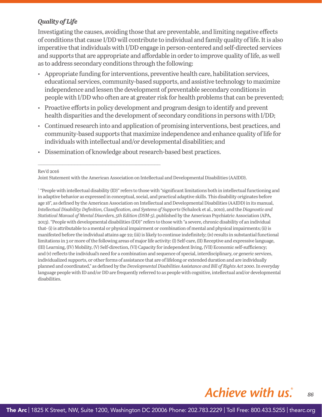#### *Quality of Life*

Investigating the causes, avoiding those that are preventable, and limiting negative effects of conditions that cause I/DD will contribute to individual and family quality of life. It is also imperative that individuals with I/DD engage in person-centered and self-directed services and supports that are appropriate and affordable in order to improve quality of life, as well as to address secondary conditions through the following:

- Appropriate funding for interventions, preventive health care, habilitation services, educational services, community-based supports, and assistive technology to maximize independence and lessen the development of preventable secondary conditions in people with I/DD who often are at greater risk for health problems that can be prevented;
- Proactive efforts in policy development and program design to identify and prevent health disparities and the development of secondary conditions in persons with I/DD;
- Continued research into and application of promising interventions, best practices, and community-based supports that maximize independence and enhance quality of life for individuals with intellectual and/or developmental disabilities; and
- Dissemination of knowledge about research-based best practices.

 $\overline{\phantom{a}}$  , and the set of the set of the set of the set of the set of the set of the set of the set of the set of the set of the set of the set of the set of the set of the set of the set of the set of the set of the s

Rev'd 2016

Joint Statement with the American Association on Intellectual and Developmental Disabilities (AAIDD).

<sup>1</sup>"People with intellectual disability (ID)" refers to those with "significant limitations both in intellectual functioning and in adaptive behavior as expressed in conceptual, social, and practical adaptive skills. This disability originates before age 18", as defined by the American Association on Intellectual and Developmental Disabilities (AAIDD) in its manual, *Intellectual Disability: Definition, Classification, and Systems of Supports* (Schalock et al., 2010), and the *Diagnostic and Statistical Manual of Mental Disorders, 5th Edition (DSM-5)*, published by the American Psychiatric Association (APA, 2013). "People with developmental disabilities (DD)" refers to those with "a severe, chronic disability of an individual that- (i) is attributable to a mental or physical impairment or combination of mental and physical impairments; (ii) is manifested before the individual attains age 22; (iii) is likely to continue indefinitely; (iv) results in substantial functional limitations in 3 or more of the following areas of major life activity: (I) Self-care, (II) Receptive and expressive language, (III) Learning, (IV) Mobility, (V) Self-direction, (VI) Capacity for independent living, (VII) Economic self-sufficiency; and (v) reflects the individual's need for a combination and sequence of special, interdisciplinary, or generic services, individualized supports, or other forms of assistance that are of lifelong or extended duration and are individually planned and coordinated," as defined by the *Developmental Disabilities Assistance and Bill of Rights Act 2000*. In everyday language people with ID and/or DD are frequently referred to as people with cognitive, intellectual and/or developmental disabilities.

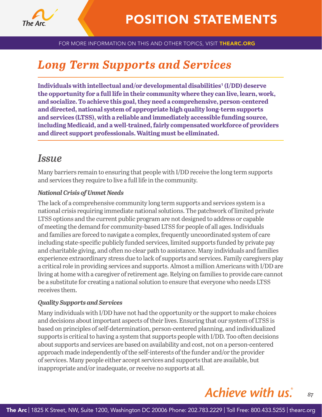

## *Long Term Supports and Services*

**Individuals with intellectual and/or developmental disabilities**1 **(I/DD) deserve the opportunity for a full life in their community where they can live, learn, work, and socialize. To achieve this goal, they need a comprehensive, person-centered and directed, national system of appropriate high quality long-term supports and services (LTSS), with a reliable and immediately accessible funding source, including Medicaid, and a well-trained, fairly compensated workforce of providers and direct support professionals. Waiting must be eliminated.**

### *Issue*

Many barriers remain to ensuring that people with I/DD receive the long term supports and services they require to live a full life in the community.

#### *National Crisis of Unmet Needs*

The lack of a comprehensive community long term supports and services system is a national crisis requiring immediate national solutions. The patchwork of limited private LTSS options and the current public program are not designed to address or capable of meeting the demand for community-based LTSS for people of all ages. Individuals and families are forced to navigate a complex, frequently uncoordinated system of care including state-specific publicly funded services, limited supports funded by private pay and charitable giving, and often no clear path to assistance. Many individuals and families experience extraordinary stress due to lack of supports and services. Family caregivers play a critical role in providing services and supports. Almost a million Americans with I/DD are living at home with a caregiver of retirement age. Relying on families to provide care cannot be a substitute for creating a national solution to ensure that everyone who needs LTSS receives them.

#### *Quality Supports and Services*

Many individuals with I/DD have not had the opportunity or the support to make choices and decisions about important aspects of their lives. Ensuring that our system of LTSS is based on principles of self-determination, person-centered planning, and individualized supports is critical to having a system that supports people with I/DD. Too often decisions about supports and services are based on availability and cost, not on a person-centered approach made independently of the self-interests of the funder and/or the provider of services. Many people either accept services and supports that are available, but inappropriate and/or inadequate, or receive no supports at all.

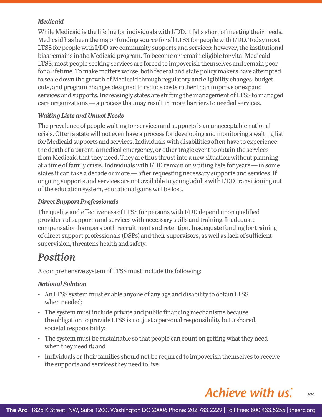#### *Medicaid*

While Medicaid is the lifeline for individuals with I/DD, it falls short of meeting their needs. Medicaid has been the major funding source for all LTSS for people with I/DD. Today most LTSS for people with I/DD are community supports and services; however, the institutional bias remains in the Medicaid program. To become or remain eligible for vital Medicaid LTSS, most people seeking services are forced to impoverish themselves and remain poor for a lifetime. To make matters worse, both federal and state policy makers have attempted to scale down the growth of Medicaid through regulatory and eligibility changes, budget cuts, and program changes designed to reduce costs rather than improve or expand services and supports. Increasingly states are shifting the management of LTSS to managed care organizations — a process that may result in more barriers to needed services.

#### *Waiting Lists and Unmet Needs*

The prevalence of people waiting for services and supports is an unacceptable national crisis. Often a state will not even have a process for developing and monitoring a waiting list for Medicaid supports and services. Individuals with disabilities often have to experience the death of a parent, a medical emergency, or other tragic event to obtain the services from Medicaid that they need. They are thus thrust into a new situation without planning at a time of family crisis. Individuals with I/DD remain on waiting lists for years — in some states it can take a decade or more — after requesting necessary supports and services. If ongoing supports and services are not available to young adults with I/DD transitioning out of the education system, educational gains will be lost.

#### *Direct Support Professionals*

The quality and effectiveness of LTSS for persons with I/DD depend upon qualified providers of supports and services with necessary skills and training. Inadequate compensation hampers both recruitment and retention. Inadequate funding for training of direct support professionals (DSPs) and their supervisors, as well as lack of sufficient supervision, threatens health and safety.

### *Position*

A comprehensive system of LTSS must include the following:

#### *National Solution*

- An LTSS system must enable anyone of any age and disability to obtain LTSS when needed;
- The system must include private and public financing mechanisms because the obligation to provide LTSS is not just a personal responsibility but a shared, societal responsibility;
- The system must be sustainable so that people can count on getting what they need when they need it; and
- Individuals or their families should not be required to impoverish themselves to receive the supports and services they need to live.

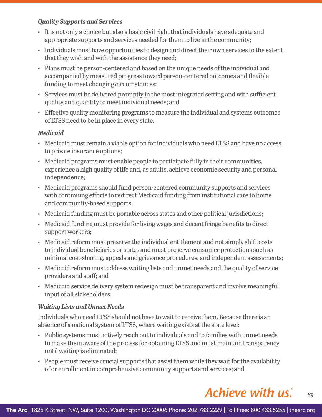#### *Quality Supports and Services*

- It is not only a choice but also a basic civil right that individuals have adequate and appropriate supports and services needed for them to live in the community;
- Individuals must have opportunities to design and direct their own services to the extent that they wish and with the assistance they need;
- Plans must be person-centered and based on the unique needs of the individual and accompanied by measured progress toward person-centered outcomes and flexible funding to meet changing circumstances;
- Services must be delivered promptly in the most integrated setting and with sufficient quality and quantity to meet individual needs; and
- Effective quality monitoring programs to measure the individual and systems outcomes of LTSS need to be in place in every state.

#### *Medicaid*

- Medicaid must remain a viable option for individuals who need LTSS and have no access to private insurance options;
- Medicaid programs must enable people to participate fully in their communities, experience a high quality of life and, as adults, achieve economic security and personal independence;
- Medicaid programs should fund person-centered community supports and services with continuing efforts to redirect Medicaid funding from institutional care to home and community-based supports;
- Medicaid funding must be portable across states and other political jurisdictions;
- Medicaid funding must provide for living wages and decent fringe benefits to direct support workers;
- Medicaid reform must preserve the individual entitlement and not simply shift costs to individual beneficiaries or states and must preserve consumer protections such as minimal cost-sharing, appeals and grievance procedures, and independent assessments;
- Medicaid reform must address waiting lists and unmet needs and the quality of service providers and staff; and
- Medicaid service delivery system redesign must be transparent and involve meaningful input of all stakeholders.

#### *Waiting Lists and Unmet Needs*

Individuals who need LTSS should not have to wait to receive them. Because there is an absence of a national system of LTSS, where waiting exists at the state level:

- Public systems must actively reach out to individuals and to families with unmet needs to make them aware of the process for obtaining LTSS and must maintain transparency until waiting is eliminated;
- People must receive crucial supports that assist them while they wait for the availability of or enrollment in comprehensive community supports and services; and

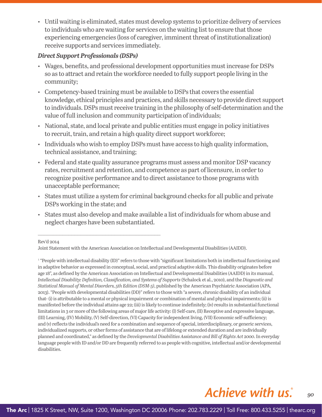• Until waiting is eliminated, states must develop systems to prioritize delivery of services to individuals who are waiting for services on the waiting list to ensure that those experiencing emergencies (loss of caregiver, imminent threat of institutionalization) receive supports and services immediately.

#### *Direct Support Professionals (DSPs)*

- Wages, benefits, and professional development opportunities must increase for DSPs so as to attract and retain the workforce needed to fully support people living in the community;
- Competency-based training must be available to DSPs that covers the essential knowledge, ethical principles and practices, and skills necessary to provide direct support to individuals. DSPs must receive training in the philosophy of self-determination and the value of full inclusion and community participation of individuals;
- National, state, and local private and public entities must engage in policy initiatives to recruit, train, and retain a high quality direct support workforce;
- Individuals who wish to employ DSPs must have access to high quality information, technical assistance, and training;
- Federal and state quality assurance programs must assess and monitor DSP vacancy rates, recruitment and retention, and competence as part of licensure, in order to recognize positive performance and to direct assistance to those programs with unacceptable performance;
- States must utilize a system for criminal background checks for all public and private DSPs working in the state; and
- States must also develop and make available a list of individuals for whom abuse and neglect charges have been substantiated.

Rev'd 2014

 $\overline{\phantom{a}}$  , and the set of the set of the set of the set of the set of the set of the set of the set of the set of the set of the set of the set of the set of the set of the set of the set of the set of the set of the s



Joint Statement with the American Association on Intellectual and Developmental Disabilities (AAIDD).

<sup>1</sup>"People with intellectual disability (ID)" refers to those with "significant limitations both in intellectual functioning and in adaptive behavior as expressed in conceptual, social, and practical adaptive skills. This disability originates before age 18", as defined by the American Association on Intellectual and Developmental Disabilities (AAIDD) in its manual, *Intellectual Disability: Definition, Classification, and Systems of Supports* (Schalock et al., 2010), and the *Diagnostic and Statistical Manual of Mental Disorders, 5th Edition (DSM-5)*, published by the American Psychiatric Association (APA, 2013). "People with developmental disabilities (DD)" refers to those with "a severe, chronic disability of an individual that- (i) is attributable to a mental or physical impairment or combination of mental and physical impairments; (ii) is manifested before the individual attains age 22; (iii) is likely to continue indefinitely; (iv) results in substantial functional limitations in 3 or more of the following areas of major life activity: (I) Self-care, (II) Receptive and expressive language, (III) Learning, (IV) Mobility, (V) Self-direction, (VI) Capacity for independent living, (VII) Economic self-sufficiency; and (v) reflects the individual's need for a combination and sequence of special, interdisciplinary, or generic services, individualized supports, or other forms of assistance that are of lifelong or extended duration and are individually planned and coordinated," as defined by the *Developmental Disabilities Assistance and Bill of Rights Act 2000*. In everyday language people with ID and/or DD are frequently referred to as people with cognitive, intellectual and/or developmental disabilities.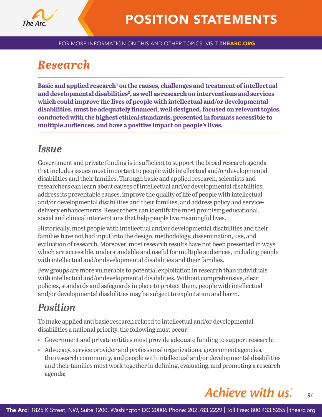

## *Research*

**Basic and applied research**1 **on the causes, challenges and treatment of intellectual and developmental disabilities**2**, as well as research on interventions and services which could improve the lives of people with intellectual and/or developmental disabilities, must be adequately financed, well designed, focused on relevant topics, conducted with the highest ethical standards, presented in formats accessible to multiple audiences, and have a positive impact on people's lives.**

### *Issue*

Government and private funding is insufficient to support the broad research agenda that includes issues most important to people with intellectual and/or developmental disabilities and their families. Through basic and applied research, scientists and researchers can learn about causes of intellectual and/or developmental disabilities, address its preventable causes, improve the quality of life of people with intellectual and/or developmental disabilities and their families, and address policy and servicedelivery enhancements. Researchers can identify the most promising educational, social and clinical interventions that help people live meaningful lives.

Historically, most people with intellectual and/or developmental disabilities and their families have not had input into the design, methodology, dissemination, use, and evaluation of research. Moreover, most research results have not been presented in ways which are accessible, understandable and useful for multiple audiences, including people with intellectual and/or developmental disabilities and their families.

Few groups are more vulnerable to potential exploitation in research than individuals with intellectual and/or developmental disabilities. Without comprehensive, clear policies, standards and safeguards in place to protect them, people with intellectual and/or developmental disabilities may be subject to exploitation and harm.

### *Position*

To make applied and basic research related to intellectual and/or developmental disabilities a national priority, the following must occur:

- Government and private entities must provide adequate funding to support research;
- Advocacy, service provider and professional organizations, government agencies, the research community, and people with intellectual and/or developmental disabilities and their families must work together in defining, evaluating, and promoting a research agenda;

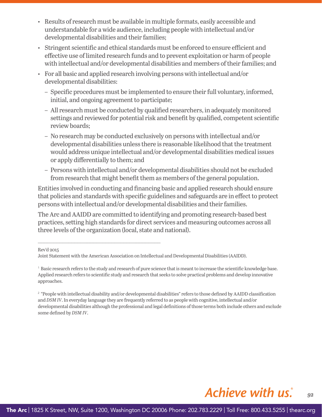- Results of research must be available in multiple formats, easily accessible and understandable for a wide audience, including people with intellectual and/or developmental disabilities and their families;
- Stringent scientific and ethical standards must be enforced to ensure efficient and effective use of limited research funds and to prevent exploitation or harm of people with intellectual and/or developmental disabilities and members of their families; and
- For all basic and applied research involving persons with intellectual and/or developmental disabilities:
	- Specific procedures must be implemented to ensure their full voluntary, informed, initial, and ongoing agreement to participate;
	- All research must be conducted by qualified researchers, in adequately monitored settings and reviewed for potential risk and benefit by qualified, competent scientific review boards;
	- No research may be conducted exclusively on persons with intellectual and/or developmental disabilities unless there is reasonable likelihood that the treatment would address unique intellectual and/or developmental disabilities medical issues or apply differentially to them; and
	- Persons with intellectual and/or developmental disabilities should not be excluded from research that might benefit them as members of the general population.

Entities involved in conducting and financing basic and applied research should ensure that policies and standards with specific guidelines and safeguards are in effect to protect persons with intellectual and/or developmental disabilities and their families.

The Arc and AAIDD are committed to identifying and promoting research-based best practices, setting high standards for direct services and measuring outcomes across all three levels of the organization (local, state and national).

Rev'd 2015

 $\overline{\phantom{a}}$  , and the set of the set of the set of the set of the set of the set of the set of the set of the set of the set of the set of the set of the set of the set of the set of the set of the set of the set of the s



Joint Statement with the American Association on Intellectual and Developmental Disabilities (AAIDD).

<sup>&</sup>lt;sup>1</sup> Basic research refers to the study and research of pure science that is meant to increase the scientific knowledge base. Applied research refers to scientific study and research that seeks to solve practical problems and develop innovative approaches.

<sup>&</sup>lt;sup>2</sup> "People with intellectual disability and/or developmental disabilities" refers to those defined by AAIDD classification and *DSM IV*. In everyday language they are frequently referred to as people with cognitive, intellectual and/or developmental disabilities although the professional and legal definitions of those terms both include others and exclude some defined by *DSM IV*.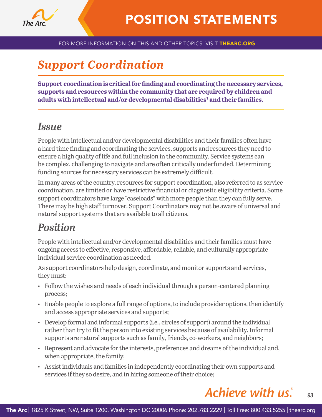

# *Support Coordination*

**Support coordination is critical for finding and coordinating the necessary services, supports and resources within the community that are required by children and adults with intellectual and/or developmental disabilities**1 **and their families.**

### *Issue*

People with intellectual and/or developmental disabilities and their families often have a hard time finding and coordinating the services, supports and resources they need to ensure a high quality of life and full inclusion in the community. Service systems can be complex, challenging to navigate and are often critically underfunded. Determining funding sources for necessary services can be extremely difficult.

In many areas of the country, resources for support coordination, also referred to as service coordination, are limited or have restrictive financial or diagnostic eligibility criteria. Some support coordinators have large "caseloads" with more people than they can fully serve. There may be high staff turnover. Support Coordinators may not be aware of universal and natural support systems that are available to all citizens.

## *Position*

People with intellectual and/or developmental disabilities and their families must have ongoing access to effective, responsive, affordable, reliable, and culturally appropriate individual service coordination as needed.

As support coordinators help design, coordinate, and monitor supports and services, they must:

- Follow the wishes and needs of each individual through a person-centered planning process;
- Enable people to explore a full range of options, to include provider options, then identify and access appropriate services and supports;
- Develop formal and informal supports (i.e., circles of support) around the individual rather than try to fit the person into existing services because of availability. Informal supports are natural supports such as family, friends, co-workers, and neighbors;
- Represent and advocate for the interests, preferences and dreams of the individual and, when appropriate, the family;
- Assist individuals and families in independently coordinating their own supports and services if they so desire, and in hiring someone of their choice;

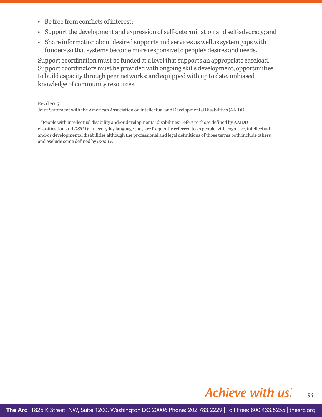• Be free from conflicts of interest;

 $\overline{\phantom{a}}$  , and the set of the set of the set of the set of the set of the set of the set of the set of the set of the set of the set of the set of the set of the set of the set of the set of the set of the set of the s

- Support the development and expression of self-determination and self-advocacy; and
- Share information about desired supports and services as well as system gaps with funders so that systems become more responsive to people's desires and needs.

Support coordination must be funded at a level that supports an appropriate caseload. Support coordinators must be provided with ongoing skills development; opportunities to build capacity through peer networks; and equipped with up to date, unbiased knowledge of community resources.

Rev'd 2015



Joint Statement with the American Association on Intellectual and Developmental Disabilities (AAIDD).

<sup>1</sup>"People with intellectual disability and/or developmental disabilities" refers to those defined by AAIDD classification and *DSM IV*. In everyday language they are frequently referred to as people with cognitive, intellectual and/or developmental disabilities although the professional and legal definitions of those terms both include others and exclude some defined by *DSM IV*.